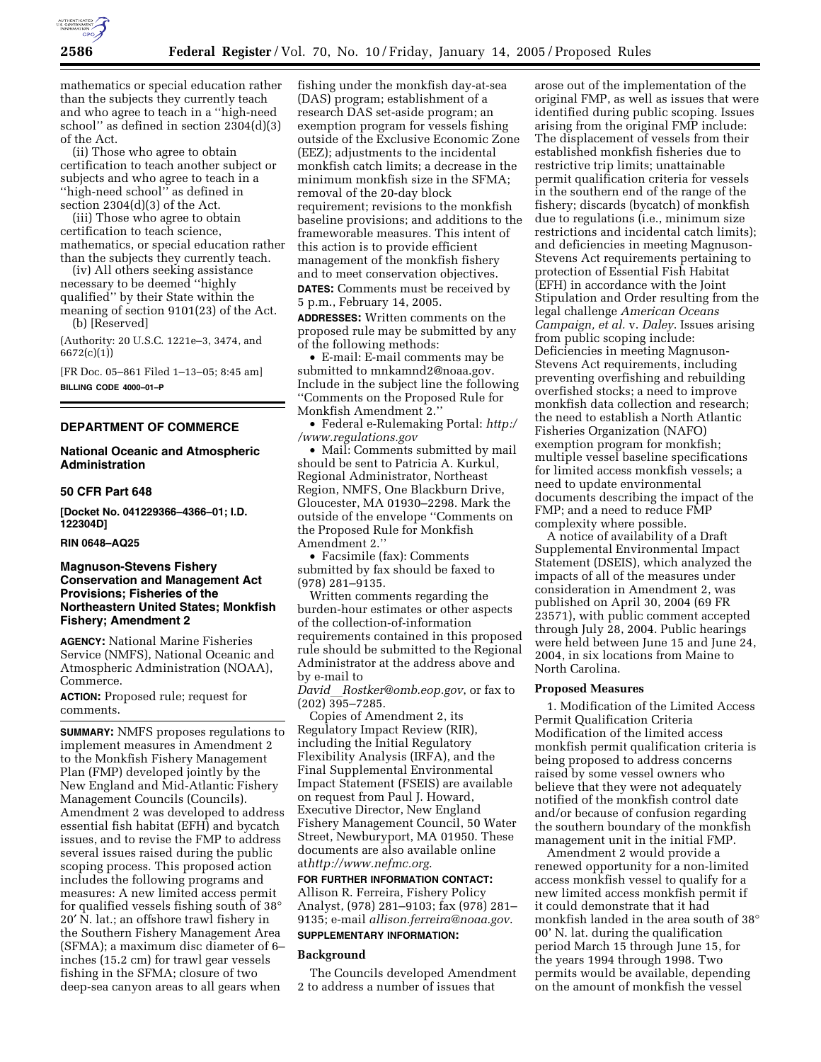

mathematics or special education rather than the subjects they currently teach and who agree to teach in a ''high-need school'' as defined in section 2304(d)(3) of the Act.

(ii) Those who agree to obtain certification to teach another subject or subjects and who agree to teach in a ''high-need school'' as defined in section 2304(d)(3) of the Act.

(iii) Those who agree to obtain certification to teach science, mathematics, or special education rather than the subjects they currently teach.

(iv) All others seeking assistance necessary to be deemed ''highly qualified'' by their State within the meaning of section 9101(23) of the Act.

(b) [Reserved]

(Authority: 20 U.S.C. 1221e–3, 3474, and 6672(c)(1))

[FR Doc. 05–861 Filed 1–13–05; 8:45 am] **BILLING CODE 4000–01–P**

## **DEPARTMENT OF COMMERCE**

## **National Oceanic and Atmospheric Administration**

#### **50 CFR Part 648**

**[Docket No. 041229366–4366–01; I.D. 122304D]**

#### **RIN 0648–AQ25**

## **Magnuson-Stevens Fishery Conservation and Management Act Provisions; Fisheries of the Northeastern United States; Monkfish Fishery; Amendment 2**

**AGENCY:** National Marine Fisheries Service (NMFS), National Oceanic and Atmospheric Administration (NOAA), Commerce.

**ACTION:** Proposed rule; request for comments.

**SUMMARY:** NMFS proposes regulations to implement measures in Amendment 2 to the Monkfish Fishery Management Plan (FMP) developed jointly by the New England and Mid-Atlantic Fishery Management Councils (Councils). Amendment 2 was developed to address essential fish habitat (EFH) and bycatch issues, and to revise the FMP to address several issues raised during the public scoping process. This proposed action includes the following programs and measures: A new limited access permit for qualified vessels fishing south of 38° 20′ N. lat.; an offshore trawl fishery in the Southern Fishery Management Area (SFMA); a maximum disc diameter of 6– inches (15.2 cm) for trawl gear vessels fishing in the SFMA; closure of two deep-sea canyon areas to all gears when

fishing under the monkfish day-at-sea (DAS) program; establishment of a research DAS set-aside program; an exemption program for vessels fishing outside of the Exclusive Economic Zone (EEZ); adjustments to the incidental monkfish catch limits; a decrease in the minimum monkfish size in the SFMA; removal of the 20-day block requirement; revisions to the monkfish baseline provisions; and additions to the frameworable measures. This intent of this action is to provide efficient management of the monkfish fishery and to meet conservation objectives. **DATES:** Comments must be received by 5 p.m., February 14, 2005.

**ADDRESSES:** Written comments on the proposed rule may be submitted by any of the following methods:

• E-mail: E-mail comments may be submitted to mnkamnd2@noaa.gov. Include in the subject line the following ''Comments on the Proposed Rule for Monkfish Amendment 2.''

• Federal e-Rulemaking Portal: *http:/ /www.regulations.gov*

• Mail: Comments submitted by mail should be sent to Patricia A. Kurkul, Regional Administrator, Northeast Region, NMFS, One Blackburn Drive, Gloucester, MA 01930–2298. Mark the outside of the envelope ''Comments on the Proposed Rule for Monkfish Amendment 2.''

• Facsimile (fax): Comments submitted by fax should be faxed to (978) 281–9135.

Written comments regarding the burden-hour estimates or other aspects of the collection-of-information requirements contained in this proposed rule should be submitted to the Regional Administrator at the address above and by e-mail to

*David*l*Rostker@omb.eop.gov*, or fax to (202) 395–7285.

Copies of Amendment 2, its Regulatory Impact Review (RIR), including the Initial Regulatory Flexibility Analysis (IRFA), and the Final Supplemental Environmental Impact Statement (FSEIS) are available on request from Paul J. Howard, Executive Director, New England Fishery Management Council, 50 Water Street, Newburyport, MA 01950. These documents are also available online at*http://www.nefmc.org*.

**FOR FURTHER INFORMATION CONTACT:** Allison R. Ferreira, Fishery Policy Analyst, (978) 281–9103; fax (978) 281– 9135; e-mail *allison.ferreira@noaa.gov*.

# **SUPPLEMENTARY INFORMATION:**

#### **Background**

The Councils developed Amendment 2 to address a number of issues that

arose out of the implementation of the original FMP, as well as issues that were identified during public scoping. Issues arising from the original FMP include: The displacement of vessels from their established monkfish fisheries due to restrictive trip limits; unattainable permit qualification criteria for vessels in the southern end of the range of the fishery; discards (bycatch) of monkfish due to regulations (i.e., minimum size restrictions and incidental catch limits); and deficiencies in meeting Magnuson-Stevens Act requirements pertaining to protection of Essential Fish Habitat (EFH) in accordance with the Joint Stipulation and Order resulting from the legal challenge *American Oceans Campaign, et al.* v. *Daley*. Issues arising from public scoping include: Deficiencies in meeting Magnuson-Stevens Act requirements, including preventing overfishing and rebuilding overfished stocks; a need to improve monkfish data collection and research; the need to establish a North Atlantic Fisheries Organization (NAFO) exemption program for monkfish; multiple vessel baseline specifications for limited access monkfish vessels; a need to update environmental documents describing the impact of the FMP; and a need to reduce FMP complexity where possible.

A notice of availability of a Draft Supplemental Environmental Impact Statement (DSEIS), which analyzed the impacts of all of the measures under consideration in Amendment 2, was published on April 30, 2004 (69 FR 23571), with public comment accepted through July 28, 2004. Public hearings were held between June 15 and June 24, 2004, in six locations from Maine to North Carolina.

#### **Proposed Measures**

1. Modification of the Limited Access Permit Qualification Criteria Modification of the limited access monkfish permit qualification criteria is being proposed to address concerns raised by some vessel owners who believe that they were not adequately notified of the monkfish control date and/or because of confusion regarding the southern boundary of the monkfish management unit in the initial FMP.

Amendment 2 would provide a renewed opportunity for a non-limited access monkfish vessel to qualify for a new limited access monkfish permit if it could demonstrate that it had monkfish landed in the area south of 38° 00' N. lat. during the qualification period March 15 through June 15, for the years 1994 through 1998. Two permits would be available, depending on the amount of monkfish the vessel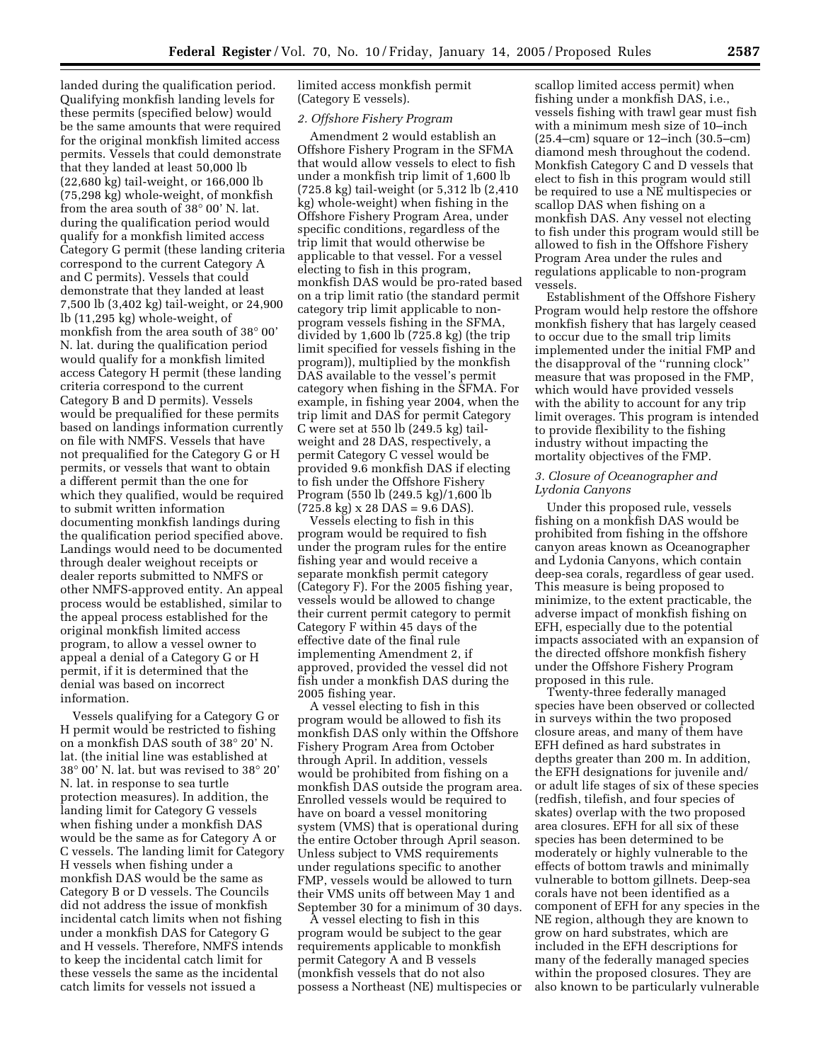landed during the qualification period. Qualifying monkfish landing levels for these permits (specified below) would be the same amounts that were required for the original monkfish limited access permits. Vessels that could demonstrate that they landed at least 50,000 lb (22,680 kg) tail-weight, or 166,000 lb (75,298 kg) whole-weight, of monkfish from the area south of 38° 00' N. lat. during the qualification period would qualify for a monkfish limited access Category G permit (these landing criteria correspond to the current Category A and C permits). Vessels that could demonstrate that they landed at least 7,500 lb (3,402 kg) tail-weight, or 24,900 lb (11,295 kg) whole-weight, of monkfish from the area south of 38° 00' N. lat. during the qualification period would qualify for a monkfish limited access Category H permit (these landing criteria correspond to the current Category B and D permits). Vessels would be prequalified for these permits based on landings information currently on file with NMFS. Vessels that have not prequalified for the Category G or H permits, or vessels that want to obtain a different permit than the one for which they qualified, would be required to submit written information documenting monkfish landings during the qualification period specified above. Landings would need to be documented through dealer weighout receipts or dealer reports submitted to NMFS or other NMFS-approved entity. An appeal process would be established, similar to the appeal process established for the original monkfish limited access program, to allow a vessel owner to appeal a denial of a Category G or H permit, if it is determined that the denial was based on incorrect information.

Vessels qualifying for a Category G or H permit would be restricted to fishing on a monkfish DAS south of 38° 20' N. lat. (the initial line was established at 38° 00' N. lat. but was revised to 38° 20' N. lat. in response to sea turtle protection measures). In addition, the landing limit for Category G vessels when fishing under a monkfish DAS would be the same as for Category A or C vessels. The landing limit for Category H vessels when fishing under a monkfish DAS would be the same as Category B or D vessels. The Councils did not address the issue of monkfish incidental catch limits when not fishing under a monkfish DAS for Category G and H vessels. Therefore, NMFS intends to keep the incidental catch limit for these vessels the same as the incidental catch limits for vessels not issued a

limited access monkfish permit (Category E vessels).

#### *2. Offshore Fishery Program*

Amendment 2 would establish an Offshore Fishery Program in the SFMA that would allow vessels to elect to fish under a monkfish trip limit of 1,600 lb (725.8 kg) tail-weight (or 5,312 lb (2,410 kg) whole-weight) when fishing in the Offshore Fishery Program Area, under specific conditions, regardless of the trip limit that would otherwise be applicable to that vessel. For a vessel electing to fish in this program, monkfish DAS would be pro-rated based on a trip limit ratio (the standard permit category trip limit applicable to nonprogram vessels fishing in the SFMA, divided by 1,600 lb (725.8 kg) (the trip limit specified for vessels fishing in the program)), multiplied by the monkfish DAS available to the vessel's permit category when fishing in the SFMA. For example, in fishing year 2004, when the trip limit and DAS for permit Category C were set at 550 lb (249.5 kg) tailweight and 28 DAS, respectively, a permit Category C vessel would be provided 9.6 monkfish DAS if electing to fish under the Offshore Fishery Program (550 lb (249.5 kg)/1,600 lb  $(725.8 \text{ kg}) \times 28 \text{ DAS} = 9.6 \text{ DAS}.$ 

Vessels electing to fish in this program would be required to fish under the program rules for the entire fishing year and would receive a separate monkfish permit category (Category F). For the 2005 fishing year, vessels would be allowed to change their current permit category to permit Category F within 45 days of the effective date of the final rule implementing Amendment 2, if approved, provided the vessel did not fish under a monkfish DAS during the 2005 fishing year.

A vessel electing to fish in this program would be allowed to fish its monkfish DAS only within the Offshore Fishery Program Area from October through April. In addition, vessels would be prohibited from fishing on a monkfish DAS outside the program area. Enrolled vessels would be required to have on board a vessel monitoring system (VMS) that is operational during the entire October through April season. Unless subject to VMS requirements under regulations specific to another FMP, vessels would be allowed to turn their VMS units off between May 1 and September 30 for a minimum of 30 days.

A vessel electing to fish in this program would be subject to the gear requirements applicable to monkfish permit Category A and B vessels (monkfish vessels that do not also possess a Northeast (NE) multispecies or

scallop limited access permit) when fishing under a monkfish DAS, i.e., vessels fishing with trawl gear must fish with a minimum mesh size of 10–inch (25.4–cm) square or 12–inch (30.5–cm) diamond mesh throughout the codend. Monkfish Category C and D vessels that elect to fish in this program would still be required to use a NE multispecies or scallop DAS when fishing on a monkfish DAS. Any vessel not electing to fish under this program would still be allowed to fish in the Offshore Fishery Program Area under the rules and regulations applicable to non-program vessels.

Establishment of the Offshore Fishery Program would help restore the offshore monkfish fishery that has largely ceased to occur due to the small trip limits implemented under the initial FMP and the disapproval of the ''running clock'' measure that was proposed in the FMP, which would have provided vessels with the ability to account for any trip limit overages. This program is intended to provide flexibility to the fishing industry without impacting the mortality objectives of the FMP.

## *3. Closure of Oceanographer and Lydonia Canyons*

Under this proposed rule, vessels fishing on a monkfish DAS would be prohibited from fishing in the offshore canyon areas known as Oceanographer and Lydonia Canyons, which contain deep-sea corals, regardless of gear used. This measure is being proposed to minimize, to the extent practicable, the adverse impact of monkfish fishing on EFH, especially due to the potential impacts associated with an expansion of the directed offshore monkfish fishery under the Offshore Fishery Program proposed in this rule.

Twenty-three federally managed species have been observed or collected in surveys within the two proposed closure areas, and many of them have EFH defined as hard substrates in depths greater than 200 m. In addition, the EFH designations for juvenile and/ or adult life stages of six of these species (redfish, tilefish, and four species of skates) overlap with the two proposed area closures. EFH for all six of these species has been determined to be moderately or highly vulnerable to the effects of bottom trawls and minimally vulnerable to bottom gillnets. Deep-sea corals have not been identified as a component of EFH for any species in the NE region, although they are known to grow on hard substrates, which are included in the EFH descriptions for many of the federally managed species within the proposed closures. They are also known to be particularly vulnerable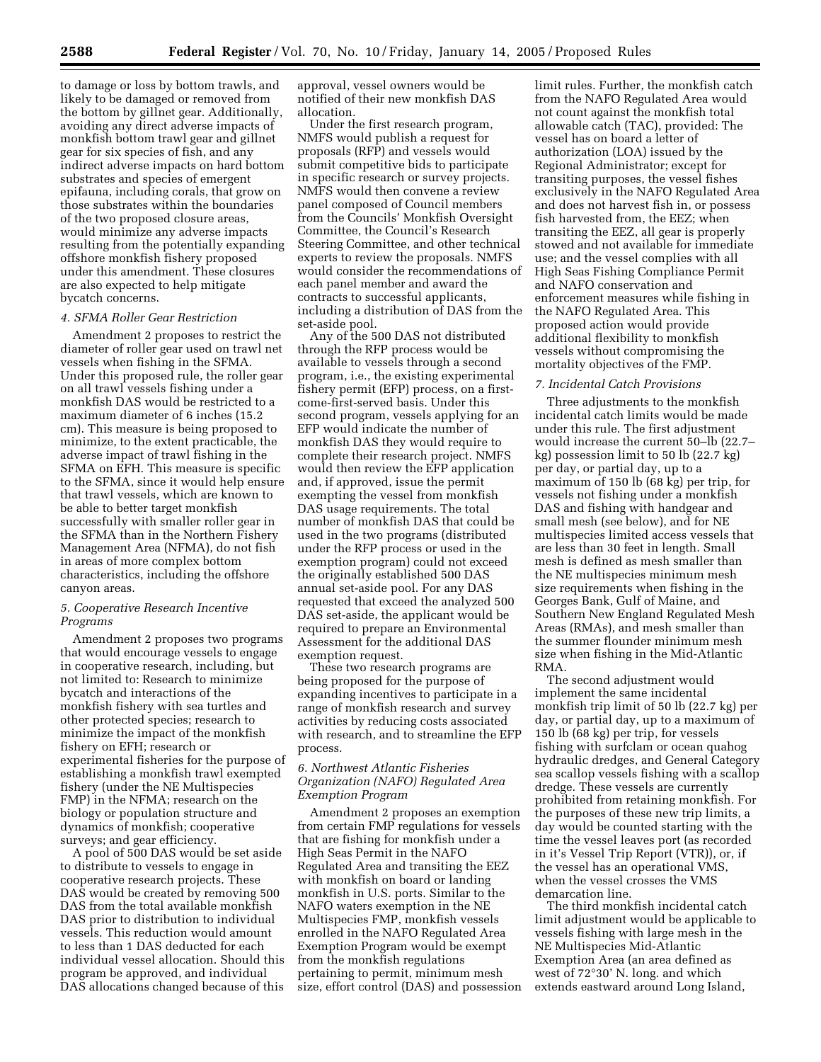to damage or loss by bottom trawls, and likely to be damaged or removed from the bottom by gillnet gear. Additionally, avoiding any direct adverse impacts of monkfish bottom trawl gear and gillnet gear for six species of fish, and any indirect adverse impacts on hard bottom substrates and species of emergent epifauna, including corals, that grow on those substrates within the boundaries of the two proposed closure areas, would minimize any adverse impacts resulting from the potentially expanding offshore monkfish fishery proposed under this amendment. These closures are also expected to help mitigate bycatch concerns.

#### *4. SFMA Roller Gear Restriction*

Amendment 2 proposes to restrict the diameter of roller gear used on trawl net vessels when fishing in the SFMA. Under this proposed rule, the roller gear on all trawl vessels fishing under a monkfish DAS would be restricted to a maximum diameter of 6 inches (15.2 cm). This measure is being proposed to minimize, to the extent practicable, the adverse impact of trawl fishing in the SFMA on EFH. This measure is specific to the SFMA, since it would help ensure that trawl vessels, which are known to be able to better target monkfish successfully with smaller roller gear in the SFMA than in the Northern Fishery Management Area (NFMA), do not fish in areas of more complex bottom characteristics, including the offshore canyon areas.

## *5. Cooperative Research Incentive Programs*

Amendment 2 proposes two programs that would encourage vessels to engage in cooperative research, including, but not limited to: Research to minimize bycatch and interactions of the monkfish fishery with sea turtles and other protected species; research to minimize the impact of the monkfish fishery on EFH; research or experimental fisheries for the purpose of establishing a monkfish trawl exempted fishery (under the NE Multispecies FMP) in the NFMA; research on the biology or population structure and dynamics of monkfish; cooperative surveys; and gear efficiency.

A pool of 500 DAS would be set aside to distribute to vessels to engage in cooperative research projects. These DAS would be created by removing 500 DAS from the total available monkfish DAS prior to distribution to individual vessels. This reduction would amount to less than 1 DAS deducted for each individual vessel allocation. Should this program be approved, and individual DAS allocations changed because of this

approval, vessel owners would be notified of their new monkfish DAS allocation.

Under the first research program, NMFS would publish a request for proposals (RFP) and vessels would submit competitive bids to participate in specific research or survey projects. NMFS would then convene a review panel composed of Council members from the Councils' Monkfish Oversight Committee, the Council's Research Steering Committee, and other technical experts to review the proposals. NMFS would consider the recommendations of each panel member and award the contracts to successful applicants, including a distribution of DAS from the set-aside pool.

Any of the 500 DAS not distributed through the RFP process would be available to vessels through a second program, i.e., the existing experimental fishery permit (EFP) process, on a firstcome-first-served basis. Under this second program, vessels applying for an EFP would indicate the number of monkfish DAS they would require to complete their research project. NMFS would then review the EFP application and, if approved, issue the permit exempting the vessel from monkfish DAS usage requirements. The total number of monkfish DAS that could be used in the two programs (distributed under the RFP process or used in the exemption program) could not exceed the originally established 500 DAS annual set-aside pool. For any DAS requested that exceed the analyzed 500 DAS set-aside, the applicant would be required to prepare an Environmental Assessment for the additional DAS exemption request.

These two research programs are being proposed for the purpose of expanding incentives to participate in a range of monkfish research and survey activities by reducing costs associated with research, and to streamline the EFP process.

#### *6. Northwest Atlantic Fisheries Organization (NAFO) Regulated Area Exemption Program*

Amendment 2 proposes an exemption from certain FMP regulations for vessels that are fishing for monkfish under a High Seas Permit in the NAFO Regulated Area and transiting the EEZ with monkfish on board or landing monkfish in U.S. ports. Similar to the NAFO waters exemption in the NE Multispecies FMP, monkfish vessels enrolled in the NAFO Regulated Area Exemption Program would be exempt from the monkfish regulations pertaining to permit, minimum mesh size, effort control (DAS) and possession

limit rules. Further, the monkfish catch from the NAFO Regulated Area would not count against the monkfish total allowable catch (TAC), provided: The vessel has on board a letter of authorization (LOA) issued by the Regional Administrator; except for transiting purposes, the vessel fishes exclusively in the NAFO Regulated Area and does not harvest fish in, or possess fish harvested from, the EEZ; when transiting the EEZ, all gear is properly stowed and not available for immediate use; and the vessel complies with all High Seas Fishing Compliance Permit and NAFO conservation and enforcement measures while fishing in the NAFO Regulated Area. This proposed action would provide additional flexibility to monkfish vessels without compromising the mortality objectives of the FMP.

## *7. Incidental Catch Provisions*

Three adjustments to the monkfish incidental catch limits would be made under this rule. The first adjustment would increase the current 50–lb (22.7– kg) possession limit to 50 lb (22.7 kg) per day, or partial day, up to a maximum of 150 lb (68 kg) per trip, for vessels not fishing under a monkfish DAS and fishing with handgear and small mesh (see below), and for NE multispecies limited access vessels that are less than 30 feet in length. Small mesh is defined as mesh smaller than the NE multispecies minimum mesh size requirements when fishing in the Georges Bank, Gulf of Maine, and Southern New England Regulated Mesh Areas (RMAs), and mesh smaller than the summer flounder minimum mesh size when fishing in the Mid-Atlantic RMA.

The second adjustment would implement the same incidental monkfish trip limit of 50 lb (22.7 kg) per day, or partial day, up to a maximum of 150 lb (68 kg) per trip, for vessels fishing with surfclam or ocean quahog hydraulic dredges, and General Category sea scallop vessels fishing with a scallop dredge. These vessels are currently prohibited from retaining monkfish. For the purposes of these new trip limits, a day would be counted starting with the time the vessel leaves port (as recorded in it's Vessel Trip Report (VTR)), or, if the vessel has an operational VMS, when the vessel crosses the VMS demarcation line.

The third monkfish incidental catch limit adjustment would be applicable to vessels fishing with large mesh in the NE Multispecies Mid-Atlantic Exemption Area (an area defined as west of 72°30' N. long. and which extends eastward around Long Island,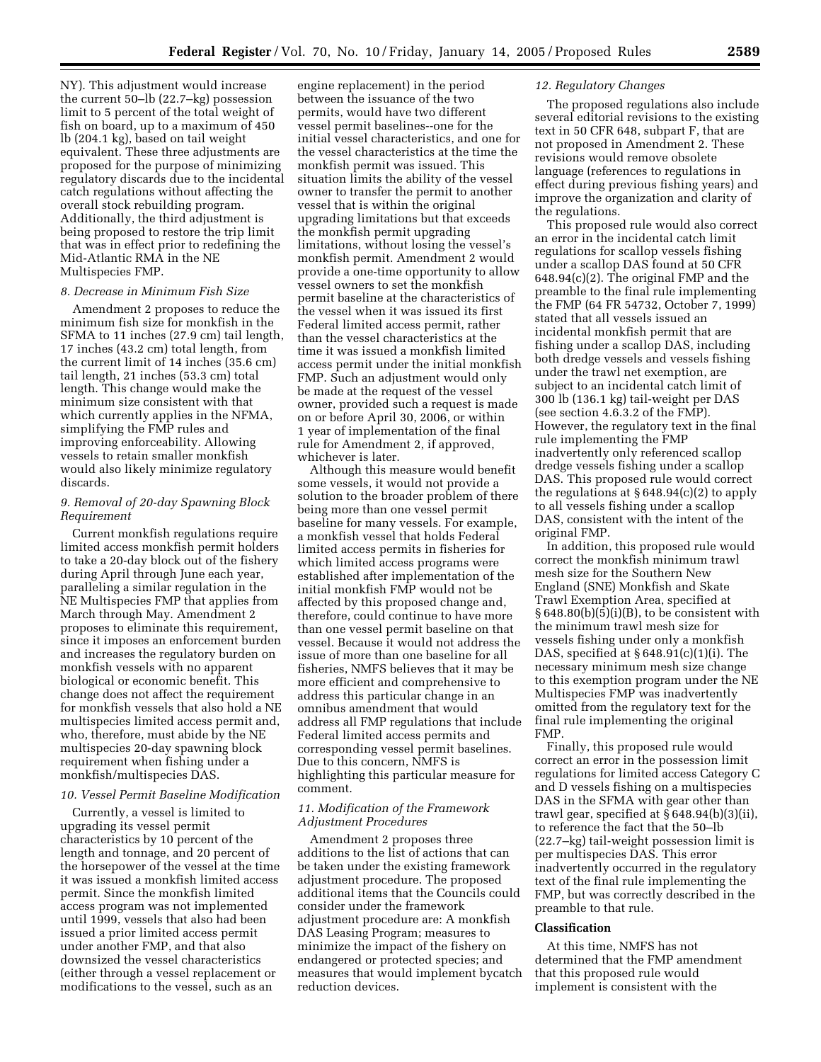NY). This adjustment would increase the current 50–lb (22.7–kg) possession limit to 5 percent of the total weight of fish on board, up to a maximum of 450 lb (204.1 kg), based on tail weight equivalent. These three adjustments are proposed for the purpose of minimizing regulatory discards due to the incidental catch regulations without affecting the overall stock rebuilding program. Additionally, the third adjustment is being proposed to restore the trip limit that was in effect prior to redefining the Mid-Atlantic RMA in the NE Multispecies FMP.

#### *8. Decrease in Minimum Fish Size*

Amendment 2 proposes to reduce the minimum fish size for monkfish in the SFMA to 11 inches (27.9 cm) tail length, 17 inches (43.2 cm) total length, from the current limit of 14 inches (35.6 cm) tail length, 21 inches (53.3 cm) total length. This change would make the minimum size consistent with that which currently applies in the NFMA, simplifying the FMP rules and improving enforceability. Allowing vessels to retain smaller monkfish would also likely minimize regulatory discards.

#### *9. Removal of 20-day Spawning Block Requirement*

Current monkfish regulations require limited access monkfish permit holders to take a 20-day block out of the fishery during April through June each year, paralleling a similar regulation in the NE Multispecies FMP that applies from March through May. Amendment 2 proposes to eliminate this requirement, since it imposes an enforcement burden and increases the regulatory burden on monkfish vessels with no apparent biological or economic benefit. This change does not affect the requirement for monkfish vessels that also hold a NE multispecies limited access permit and, who, therefore, must abide by the NE multispecies 20-day spawning block requirement when fishing under a monkfish/multispecies DAS.

#### *10. Vessel Permit Baseline Modification*

Currently, a vessel is limited to upgrading its vessel permit characteristics by 10 percent of the length and tonnage, and 20 percent of the horsepower of the vessel at the time it was issued a monkfish limited access permit. Since the monkfish limited access program was not implemented until 1999, vessels that also had been issued a prior limited access permit under another FMP, and that also downsized the vessel characteristics (either through a vessel replacement or modifications to the vessel, such as an

engine replacement) in the period between the issuance of the two permits, would have two different vessel permit baselines--one for the initial vessel characteristics, and one for the vessel characteristics at the time the monkfish permit was issued. This situation limits the ability of the vessel owner to transfer the permit to another vessel that is within the original upgrading limitations but that exceeds the monkfish permit upgrading limitations, without losing the vessel's monkfish permit. Amendment 2 would provide a one-time opportunity to allow vessel owners to set the monkfish permit baseline at the characteristics of the vessel when it was issued its first Federal limited access permit, rather than the vessel characteristics at the time it was issued a monkfish limited access permit under the initial monkfish FMP. Such an adjustment would only be made at the request of the vessel owner, provided such a request is made on or before April 30, 2006, or within 1 year of implementation of the final rule for Amendment 2, if approved, whichever is later.

Although this measure would benefit some vessels, it would not provide a solution to the broader problem of there being more than one vessel permit baseline for many vessels. For example, a monkfish vessel that holds Federal limited access permits in fisheries for which limited access programs were established after implementation of the initial monkfish FMP would not be affected by this proposed change and, therefore, could continue to have more than one vessel permit baseline on that vessel. Because it would not address the issue of more than one baseline for all fisheries, NMFS believes that it may be more efficient and comprehensive to address this particular change in an omnibus amendment that would address all FMP regulations that include Federal limited access permits and corresponding vessel permit baselines. Due to this concern, NMFS is highlighting this particular measure for comment.

#### *11. Modification of the Framework Adjustment Procedures*

Amendment 2 proposes three additions to the list of actions that can be taken under the existing framework adjustment procedure. The proposed additional items that the Councils could consider under the framework adjustment procedure are: A monkfish DAS Leasing Program; measures to minimize the impact of the fishery on endangered or protected species; and measures that would implement bycatch reduction devices.

#### *12. Regulatory Changes*

The proposed regulations also include several editorial revisions to the existing text in 50 CFR 648, subpart F, that are not proposed in Amendment 2. These revisions would remove obsolete language (references to regulations in effect during previous fishing years) and improve the organization and clarity of the regulations.

This proposed rule would also correct an error in the incidental catch limit regulations for scallop vessels fishing under a scallop DAS found at 50 CFR 648.94(c)(2). The original FMP and the preamble to the final rule implementing the FMP (64 FR 54732, October 7, 1999) stated that all vessels issued an incidental monkfish permit that are fishing under a scallop DAS, including both dredge vessels and vessels fishing under the trawl net exemption, are subject to an incidental catch limit of 300 lb (136.1 kg) tail-weight per DAS (see section 4.6.3.2 of the FMP). However, the regulatory text in the final rule implementing the FMP inadvertently only referenced scallop dredge vessels fishing under a scallop DAS. This proposed rule would correct the regulations at  $\S 648.94(c)(2)$  to apply to all vessels fishing under a scallop DAS, consistent with the intent of the original FMP.

In addition, this proposed rule would correct the monkfish minimum trawl mesh size for the Southern New England (SNE) Monkfish and Skate Trawl Exemption Area, specified at  $§ 648.80(b)(5)(i)(B)$ , to be consistent with the minimum trawl mesh size for vessels fishing under only a monkfish DAS, specified at § 648.91(c)(1)(i). The necessary minimum mesh size change to this exemption program under the NE Multispecies FMP was inadvertently omitted from the regulatory text for the final rule implementing the original FMP.

Finally, this proposed rule would correct an error in the possession limit regulations for limited access Category C and D vessels fishing on a multispecies DAS in the SFMA with gear other than trawl gear, specified at § 648.94(b)(3)(ii), to reference the fact that the 50–lb (22.7–kg) tail-weight possession limit is per multispecies DAS. This error inadvertently occurred in the regulatory text of the final rule implementing the FMP, but was correctly described in the preamble to that rule.

#### **Classification**

At this time, NMFS has not determined that the FMP amendment that this proposed rule would implement is consistent with the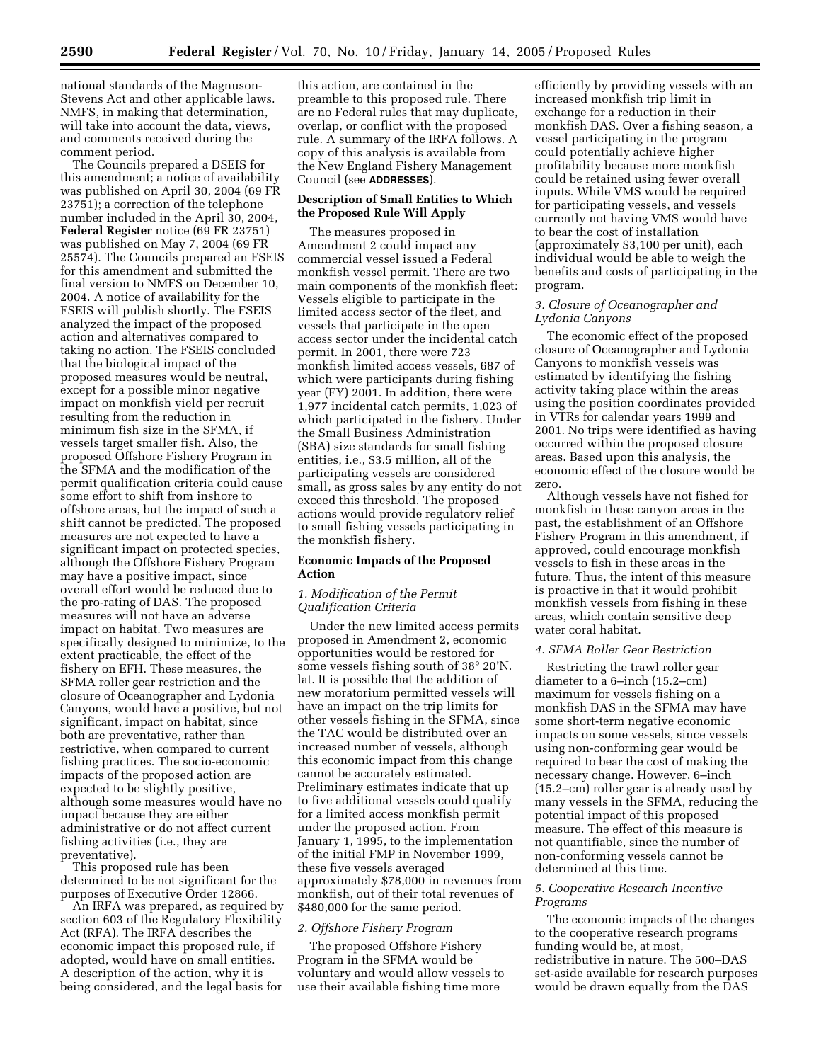national standards of the Magnuson-Stevens Act and other applicable laws. NMFS, in making that determination, will take into account the data, views, and comments received during the comment period.

The Councils prepared a DSEIS for this amendment; a notice of availability was published on April 30, 2004 (69 FR 23751); a correction of the telephone number included in the April 30, 2004, **Federal Register** notice (69 FR 23751) was published on May 7, 2004 (69 FR 25574). The Councils prepared an FSEIS for this amendment and submitted the final version to NMFS on December 10, 2004. A notice of availability for the FSEIS will publish shortly. The FSEIS analyzed the impact of the proposed action and alternatives compared to taking no action. The FSEIS concluded that the biological impact of the proposed measures would be neutral, except for a possible minor negative impact on monkfish yield per recruit resulting from the reduction in minimum fish size in the SFMA, if vessels target smaller fish. Also, the proposed Offshore Fishery Program in the SFMA and the modification of the permit qualification criteria could cause some effort to shift from inshore to offshore areas, but the impact of such a shift cannot be predicted. The proposed measures are not expected to have a significant impact on protected species, although the Offshore Fishery Program may have a positive impact, since overall effort would be reduced due to the pro-rating of DAS. The proposed measures will not have an adverse impact on habitat. Two measures are specifically designed to minimize, to the extent practicable, the effect of the fishery on EFH. These measures, the SFMA roller gear restriction and the closure of Oceanographer and Lydonia Canyons, would have a positive, but not significant, impact on habitat, since both are preventative, rather than restrictive, when compared to current fishing practices. The socio-economic impacts of the proposed action are expected to be slightly positive, although some measures would have no impact because they are either administrative or do not affect current fishing activities (i.e., they are preventative).

This proposed rule has been determined to be not significant for the purposes of Executive Order 12866.

An IRFA was prepared, as required by section 603 of the Regulatory Flexibility Act (RFA). The IRFA describes the economic impact this proposed rule, if adopted, would have on small entities. A description of the action, why it is being considered, and the legal basis for

this action, are contained in the preamble to this proposed rule. There are no Federal rules that may duplicate, overlap, or conflict with the proposed rule. A summary of the IRFA follows. A copy of this analysis is available from the New England Fishery Management Council (see **ADDRESSES**).

## **Description of Small Entities to Which the Proposed Rule Will Apply**

The measures proposed in Amendment 2 could impact any commercial vessel issued a Federal monkfish vessel permit. There are two main components of the monkfish fleet: Vessels eligible to participate in the limited access sector of the fleet, and vessels that participate in the open access sector under the incidental catch permit. In 2001, there were 723 monkfish limited access vessels, 687 of which were participants during fishing year (FY) 2001. In addition, there were 1,977 incidental catch permits, 1,023 of which participated in the fishery. Under the Small Business Administration (SBA) size standards for small fishing entities, i.e., \$3.5 million, all of the participating vessels are considered small, as gross sales by any entity do not exceed this threshold. The proposed actions would provide regulatory relief to small fishing vessels participating in the monkfish fishery.

## **Economic Impacts of the Proposed Action**

## *1. Modification of the Permit Qualification Criteria*

Under the new limited access permits proposed in Amendment 2, economic opportunities would be restored for some vessels fishing south of 38° 20'N. lat. It is possible that the addition of new moratorium permitted vessels will have an impact on the trip limits for other vessels fishing in the SFMA, since the TAC would be distributed over an increased number of vessels, although this economic impact from this change cannot be accurately estimated. Preliminary estimates indicate that up to five additional vessels could qualify for a limited access monkfish permit under the proposed action. From January 1, 1995, to the implementation of the initial FMP in November 1999, these five vessels averaged approximately \$78,000 in revenues from monkfish, out of their total revenues of \$480,000 for the same period.

#### *2. Offshore Fishery Program*

The proposed Offshore Fishery Program in the SFMA would be voluntary and would allow vessels to use their available fishing time more

efficiently by providing vessels with an increased monkfish trip limit in exchange for a reduction in their monkfish DAS. Over a fishing season, a vessel participating in the program could potentially achieve higher profitability because more monkfish could be retained using fewer overall inputs. While VMS would be required for participating vessels, and vessels currently not having VMS would have to bear the cost of installation (approximately \$3,100 per unit), each individual would be able to weigh the benefits and costs of participating in the program.

## *3. Closure of Oceanographer and Lydonia Canyons*

The economic effect of the proposed closure of Oceanographer and Lydonia Canyons to monkfish vessels was estimated by identifying the fishing activity taking place within the areas using the position coordinates provided in VTRs for calendar years 1999 and 2001. No trips were identified as having occurred within the proposed closure areas. Based upon this analysis, the economic effect of the closure would be zero.

Although vessels have not fished for monkfish in these canyon areas in the past, the establishment of an Offshore Fishery Program in this amendment, if approved, could encourage monkfish vessels to fish in these areas in the future. Thus, the intent of this measure is proactive in that it would prohibit monkfish vessels from fishing in these areas, which contain sensitive deep water coral habitat.

#### *4. SFMA Roller Gear Restriction*

Restricting the trawl roller gear diameter to a 6–inch (15.2–cm) maximum for vessels fishing on a monkfish DAS in the SFMA may have some short-term negative economic impacts on some vessels, since vessels using non-conforming gear would be required to bear the cost of making the necessary change. However, 6–inch (15.2–cm) roller gear is already used by many vessels in the SFMA, reducing the potential impact of this proposed measure. The effect of this measure is not quantifiable, since the number of non-conforming vessels cannot be determined at this time.

#### *5. Cooperative Research Incentive Programs*

The economic impacts of the changes to the cooperative research programs funding would be, at most, redistributive in nature. The 500–DAS set-aside available for research purposes would be drawn equally from the DAS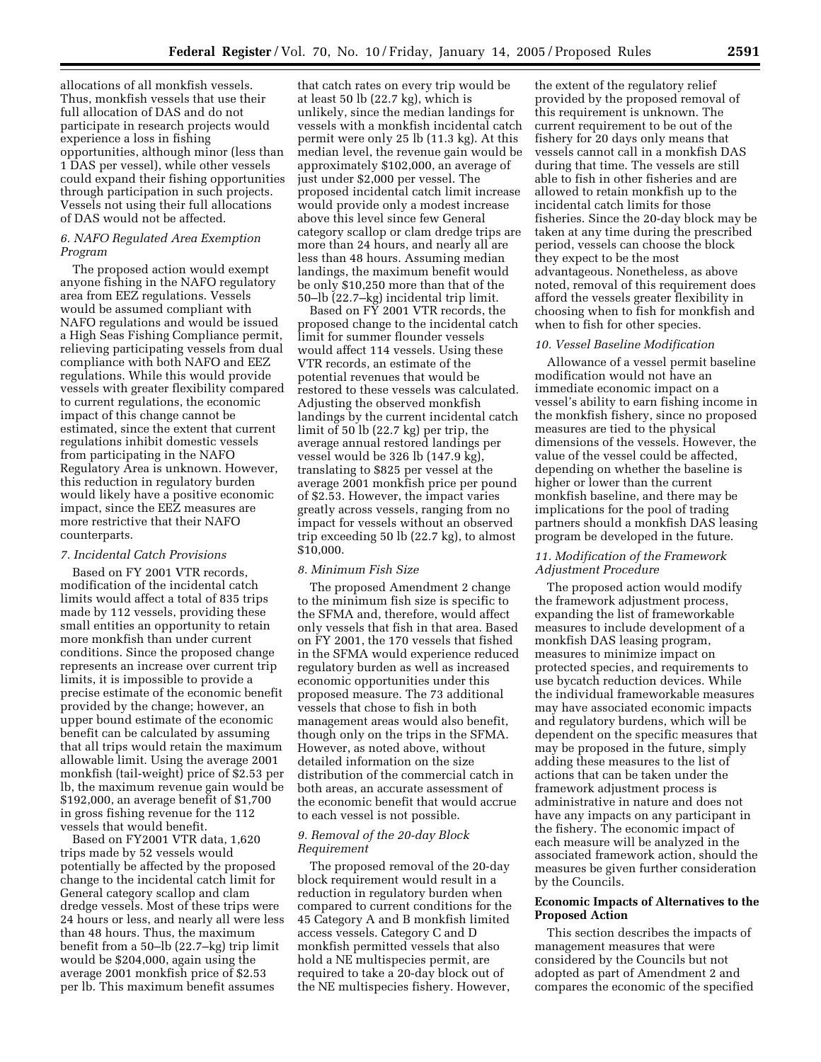allocations of all monkfish vessels. Thus, monkfish vessels that use their full allocation of DAS and do not participate in research projects would experience a loss in fishing opportunities, although minor (less than 1 DAS per vessel), while other vessels could expand their fishing opportunities through participation in such projects. Vessels not using their full allocations of DAS would not be affected.

#### *6. NAFO Regulated Area Exemption Program*

The proposed action would exempt anyone fishing in the NAFO regulatory area from EEZ regulations. Vessels would be assumed compliant with NAFO regulations and would be issued a High Seas Fishing Compliance permit, relieving participating vessels from dual compliance with both NAFO and EEZ regulations. While this would provide vessels with greater flexibility compared to current regulations, the economic impact of this change cannot be estimated, since the extent that current regulations inhibit domestic vessels from participating in the NAFO Regulatory Area is unknown. However, this reduction in regulatory burden would likely have a positive economic impact, since the EEZ measures are more restrictive that their NAFO counterparts.

#### *7. Incidental Catch Provisions*

Based on FY 2001 VTR records, modification of the incidental catch limits would affect a total of 835 trips made by 112 vessels, providing these small entities an opportunity to retain more monkfish than under current conditions. Since the proposed change represents an increase over current trip limits, it is impossible to provide a precise estimate of the economic benefit provided by the change; however, an upper bound estimate of the economic benefit can be calculated by assuming that all trips would retain the maximum allowable limit. Using the average 2001 monkfish (tail-weight) price of \$2.53 per lb, the maximum revenue gain would be \$192,000, an average benefit of \$1,700 in gross fishing revenue for the 112 vessels that would benefit.

Based on FY2001 VTR data, 1,620 trips made by 52 vessels would potentially be affected by the proposed change to the incidental catch limit for General category scallop and clam dredge vessels. Most of these trips were 24 hours or less, and nearly all were less than 48 hours. Thus, the maximum benefit from a 50–lb (22.7–kg) trip limit would be \$204,000, again using the average 2001 monkfish price of \$2.53 per lb. This maximum benefit assumes

that catch rates on every trip would be at least 50 lb (22.7 kg), which is unlikely, since the median landings for vessels with a monkfish incidental catch permit were only 25 lb (11.3 kg). At this median level, the revenue gain would be approximately \$102,000, an average of just under \$2,000 per vessel. The proposed incidental catch limit increase would provide only a modest increase above this level since few General category scallop or clam dredge trips are more than 24 hours, and nearly all are less than 48 hours. Assuming median landings, the maximum benefit would be only \$10,250 more than that of the 50–lb (22.7–kg) incidental trip limit.

Based on FY 2001 VTR records, the proposed change to the incidental catch limit for summer flounder vessels would affect 114 vessels. Using these VTR records, an estimate of the potential revenues that would be restored to these vessels was calculated. Adjusting the observed monkfish landings by the current incidental catch limit of 50 lb (22.7 kg) per trip, the average annual restored landings per vessel would be 326 lb (147.9 kg), translating to \$825 per vessel at the average 2001 monkfish price per pound of \$2.53. However, the impact varies greatly across vessels, ranging from no impact for vessels without an observed trip exceeding 50 lb (22.7 kg), to almost \$10,000.

#### *8. Minimum Fish Size*

The proposed Amendment 2 change to the minimum fish size is specific to the SFMA and, therefore, would affect only vessels that fish in that area. Based on FY 2001, the 170 vessels that fished in the SFMA would experience reduced regulatory burden as well as increased economic opportunities under this proposed measure. The 73 additional vessels that chose to fish in both management areas would also benefit, though only on the trips in the SFMA. However, as noted above, without detailed information on the size distribution of the commercial catch in both areas, an accurate assessment of the economic benefit that would accrue to each vessel is not possible.

## *9. Removal of the 20-day Block Requirement*

The proposed removal of the 20-day block requirement would result in a reduction in regulatory burden when compared to current conditions for the 45 Category A and B monkfish limited access vessels. Category C and D monkfish permitted vessels that also hold a NE multispecies permit, are required to take a 20-day block out of the NE multispecies fishery. However,

the extent of the regulatory relief provided by the proposed removal of this requirement is unknown. The current requirement to be out of the fishery for 20 days only means that vessels cannot call in a monkfish DAS during that time. The vessels are still able to fish in other fisheries and are allowed to retain monkfish up to the incidental catch limits for those fisheries. Since the 20-day block may be taken at any time during the prescribed period, vessels can choose the block they expect to be the most advantageous. Nonetheless, as above noted, removal of this requirement does afford the vessels greater flexibility in choosing when to fish for monkfish and when to fish for other species.

#### *10. Vessel Baseline Modification*

Allowance of a vessel permit baseline modification would not have an immediate economic impact on a vessel's ability to earn fishing income in the monkfish fishery, since no proposed measures are tied to the physical dimensions of the vessels. However, the value of the vessel could be affected, depending on whether the baseline is higher or lower than the current monkfish baseline, and there may be implications for the pool of trading partners should a monkfish DAS leasing program be developed in the future.

#### *11. Modification of the Framework Adjustment Procedure*

The proposed action would modify the framework adjustment process, expanding the list of frameworkable measures to include development of a monkfish DAS leasing program, measures to minimize impact on protected species, and requirements to use bycatch reduction devices. While the individual frameworkable measures may have associated economic impacts and regulatory burdens, which will be dependent on the specific measures that may be proposed in the future, simply adding these measures to the list of actions that can be taken under the framework adjustment process is administrative in nature and does not have any impacts on any participant in the fishery. The economic impact of each measure will be analyzed in the associated framework action, should the measures be given further consideration by the Councils.

## **Economic Impacts of Alternatives to the Proposed Action**

This section describes the impacts of management measures that were considered by the Councils but not adopted as part of Amendment 2 and compares the economic of the specified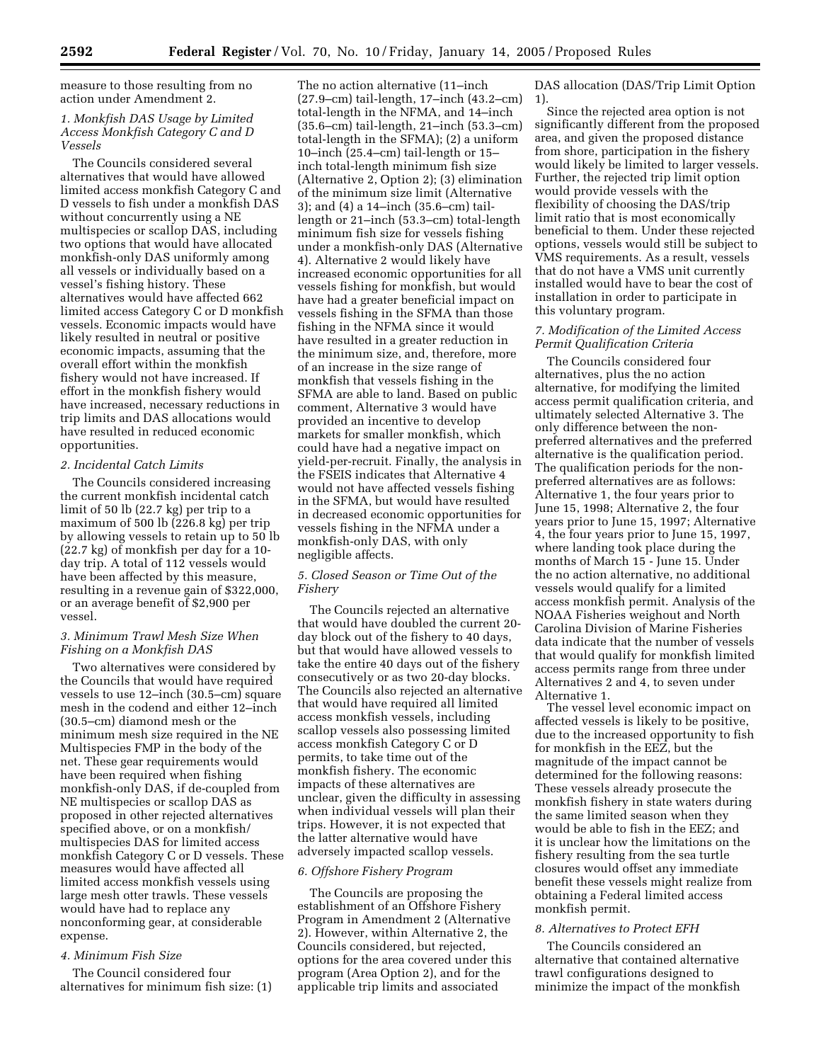measure to those resulting from no action under Amendment 2.

## *1. Monkfish DAS Usage by Limited Access Monkfish Category C and D Vessels*

The Councils considered several alternatives that would have allowed limited access monkfish Category C and D vessels to fish under a monkfish DAS without concurrently using a NE multispecies or scallop DAS, including two options that would have allocated monkfish-only DAS uniformly among all vessels or individually based on a vessel's fishing history. These alternatives would have affected 662 limited access Category C or D monkfish vessels. Economic impacts would have likely resulted in neutral or positive economic impacts, assuming that the overall effort within the monkfish fishery would not have increased. If effort in the monkfish fishery would have increased, necessary reductions in trip limits and DAS allocations would have resulted in reduced economic opportunities.

## *2. Incidental Catch Limits*

The Councils considered increasing the current monkfish incidental catch limit of 50 lb (22.7 kg) per trip to a maximum of 500 lb (226.8 kg) per trip by allowing vessels to retain up to 50 lb (22.7 kg) of monkfish per day for a 10 day trip. A total of 112 vessels would have been affected by this measure, resulting in a revenue gain of \$322,000, or an average benefit of \$2,900 per vessel.

## *3. Minimum Trawl Mesh Size When Fishing on a Monkfish DAS*

Two alternatives were considered by the Councils that would have required vessels to use 12–inch (30.5–cm) square mesh in the codend and either 12–inch (30.5–cm) diamond mesh or the minimum mesh size required in the NE Multispecies FMP in the body of the net. These gear requirements would have been required when fishing monkfish-only DAS, if de-coupled from NE multispecies or scallop DAS as proposed in other rejected alternatives specified above, or on a monkfish/ multispecies DAS for limited access monkfish Category C or D vessels. These measures would have affected all limited access monkfish vessels using large mesh otter trawls. These vessels would have had to replace any nonconforming gear, at considerable expense.

## *4. Minimum Fish Size*

The Council considered four alternatives for minimum fish size: (1)

The no action alternative (11–inch (27.9–cm) tail-length, 17–inch (43.2–cm) total-length in the NFMA, and 14–inch (35.6–cm) tail-length, 21–inch (53.3–cm) total-length in the SFMA); (2) a uniform 10–inch (25.4–cm) tail-length or 15– inch total-length minimum fish size (Alternative 2, Option 2); (3) elimination of the minimum size limit (Alternative 3); and (4) a 14–inch (35.6–cm) taillength or 21–inch (53.3–cm) total-length minimum fish size for vessels fishing under a monkfish-only DAS (Alternative 4). Alternative 2 would likely have increased economic opportunities for all vessels fishing for monkfish, but would have had a greater beneficial impact on vessels fishing in the SFMA than those fishing in the NFMA since it would have resulted in a greater reduction in the minimum size, and, therefore, more of an increase in the size range of monkfish that vessels fishing in the SFMA are able to land. Based on public comment, Alternative 3 would have provided an incentive to develop markets for smaller monkfish, which could have had a negative impact on yield-per-recruit. Finally, the analysis in the FSEIS indicates that Alternative 4 would not have affected vessels fishing in the SFMA, but would have resulted in decreased economic opportunities for vessels fishing in the NFMA under a monkfish-only DAS, with only negligible affects.

## *5. Closed Season or Time Out of the Fishery*

The Councils rejected an alternative that would have doubled the current 20 day block out of the fishery to 40 days, but that would have allowed vessels to take the entire 40 days out of the fishery consecutively or as two 20-day blocks. The Councils also rejected an alternative that would have required all limited access monkfish vessels, including scallop vessels also possessing limited access monkfish Category C or D permits, to take time out of the monkfish fishery. The economic impacts of these alternatives are unclear, given the difficulty in assessing when individual vessels will plan their trips. However, it is not expected that the latter alternative would have adversely impacted scallop vessels.

#### *6. Offshore Fishery Program*

The Councils are proposing the establishment of an Offshore Fishery Program in Amendment 2 (Alternative 2). However, within Alternative 2, the Councils considered, but rejected, options for the area covered under this program (Area Option 2), and for the applicable trip limits and associated

DAS allocation (DAS/Trip Limit Option 1).

Since the rejected area option is not significantly different from the proposed area, and given the proposed distance from shore, participation in the fishery would likely be limited to larger vessels. Further, the rejected trip limit option would provide vessels with the flexibility of choosing the DAS/trip limit ratio that is most economically beneficial to them. Under these rejected options, vessels would still be subject to VMS requirements. As a result, vessels that do not have a VMS unit currently installed would have to bear the cost of installation in order to participate in this voluntary program.

## *7. Modification of the Limited Access Permit Qualification Criteria*

The Councils considered four alternatives, plus the no action alternative, for modifying the limited access permit qualification criteria, and ultimately selected Alternative 3. The only difference between the nonpreferred alternatives and the preferred alternative is the qualification period. The qualification periods for the nonpreferred alternatives are as follows: Alternative 1, the four years prior to June 15, 1998; Alternative 2, the four years prior to June 15, 1997; Alternative 4, the four years prior to June 15, 1997, where landing took place during the months of March 15 - June 15. Under the no action alternative, no additional vessels would qualify for a limited access monkfish permit. Analysis of the NOAA Fisheries weighout and North Carolina Division of Marine Fisheries data indicate that the number of vessels that would qualify for monkfish limited access permits range from three under Alternatives 2 and 4, to seven under Alternative 1.

The vessel level economic impact on affected vessels is likely to be positive, due to the increased opportunity to fish for monkfish in the EEZ, but the magnitude of the impact cannot be determined for the following reasons: These vessels already prosecute the monkfish fishery in state waters during the same limited season when they would be able to fish in the EEZ; and it is unclear how the limitations on the fishery resulting from the sea turtle closures would offset any immediate benefit these vessels might realize from obtaining a Federal limited access monkfish permit.

## *8. Alternatives to Protect EFH*

The Councils considered an alternative that contained alternative trawl configurations designed to minimize the impact of the monkfish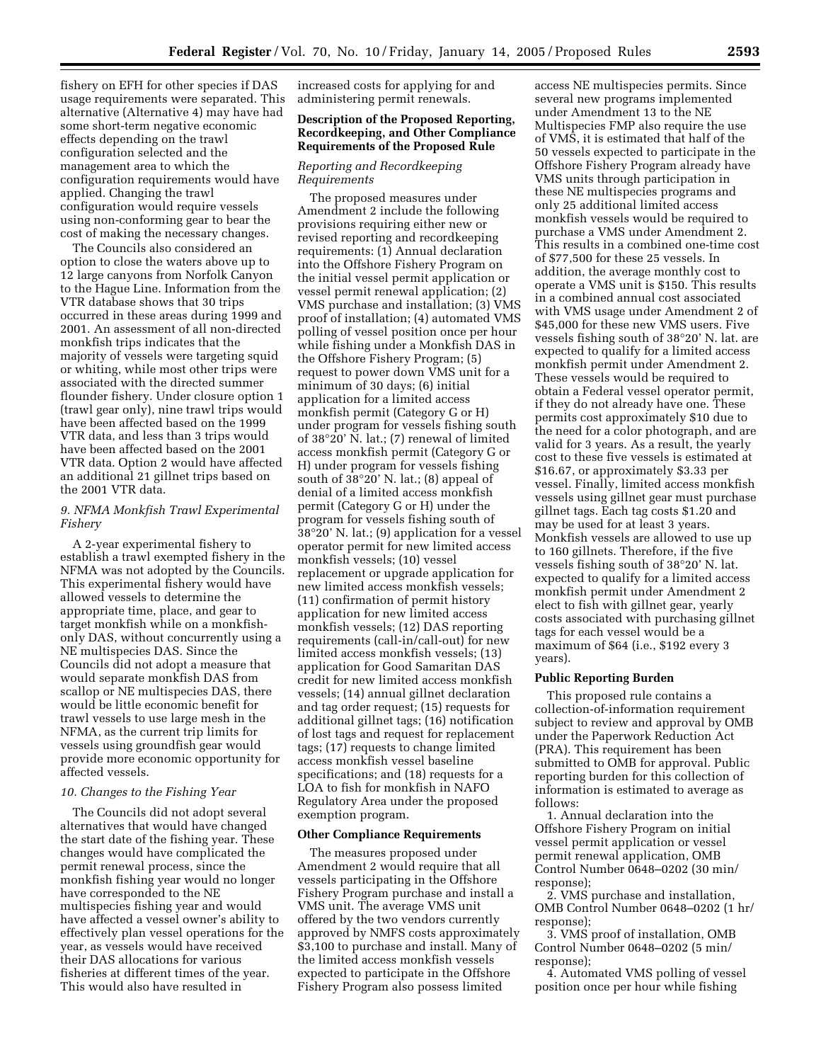fishery on EFH for other species if DAS usage requirements were separated. This alternative (Alternative 4) may have had some short-term negative economic effects depending on the trawl configuration selected and the management area to which the configuration requirements would have applied. Changing the trawl configuration would require vessels using non-conforming gear to bear the cost of making the necessary changes.

The Councils also considered an option to close the waters above up to 12 large canyons from Norfolk Canyon to the Hague Line. Information from the VTR database shows that 30 trips occurred in these areas during 1999 and 2001. An assessment of all non-directed monkfish trips indicates that the majority of vessels were targeting squid or whiting, while most other trips were associated with the directed summer flounder fishery. Under closure option 1 (trawl gear only), nine trawl trips would have been affected based on the 1999 VTR data, and less than 3 trips would have been affected based on the 2001 VTR data. Option 2 would have affected an additional 21 gillnet trips based on the 2001 VTR data.

## *9. NFMA Monkfish Trawl Experimental Fishery*

A 2-year experimental fishery to establish a trawl exempted fishery in the NFMA was not adopted by the Councils. This experimental fishery would have allowed vessels to determine the appropriate time, place, and gear to target monkfish while on a monkfishonly DAS, without concurrently using a NE multispecies DAS. Since the Councils did not adopt a measure that would separate monkfish DAS from scallop or NE multispecies DAS, there would be little economic benefit for trawl vessels to use large mesh in the NFMA, as the current trip limits for vessels using groundfish gear would provide more economic opportunity for affected vessels.

#### *10. Changes to the Fishing Year*

The Councils did not adopt several alternatives that would have changed the start date of the fishing year. These changes would have complicated the permit renewal process, since the monkfish fishing year would no longer have corresponded to the NE multispecies fishing year and would have affected a vessel owner's ability to effectively plan vessel operations for the year, as vessels would have received their DAS allocations for various fisheries at different times of the year. This would also have resulted in

increased costs for applying for and administering permit renewals.

#### **Description of the Proposed Reporting, Recordkeeping, and Other Compliance Requirements of the Proposed Rule**

#### *Reporting and Recordkeeping Requirements*

The proposed measures under Amendment 2 include the following provisions requiring either new or revised reporting and recordkeeping requirements: (1) Annual declaration into the Offshore Fishery Program on the initial vessel permit application or vessel permit renewal application; (2) VMS purchase and installation; (3) VMS proof of installation; (4) automated VMS polling of vessel position once per hour while fishing under a Monkfish DAS in the Offshore Fishery Program; (5) request to power down VMS unit for a minimum of 30 days; (6) initial application for a limited access monkfish permit (Category G or H) under program for vessels fishing south of 38°20' N. lat.; (7) renewal of limited access monkfish permit (Category G or H) under program for vessels fishing south of 38°20' N. lat.; (8) appeal of denial of a limited access monkfish permit (Category G or H) under the program for vessels fishing south of 38°20' N. lat.; (9) application for a vessel operator permit for new limited access monkfish vessels; (10) vessel replacement or upgrade application for new limited access monkfish vessels; (11) confirmation of permit history application for new limited access monkfish vessels; (12) DAS reporting requirements (call-in/call-out) for new limited access monkfish vessels; (13) application for Good Samaritan DAS credit for new limited access monkfish vessels; (14) annual gillnet declaration and tag order request; (15) requests for additional gillnet tags; (16) notification of lost tags and request for replacement tags; (17) requests to change limited access monkfish vessel baseline specifications; and (18) requests for a LOA to fish for monkfish in NAFO Regulatory Area under the proposed exemption program.

#### **Other Compliance Requirements**

The measures proposed under Amendment 2 would require that all vessels participating in the Offshore Fishery Program purchase and install a VMS unit. The average VMS unit offered by the two vendors currently approved by NMFS costs approximately \$3,100 to purchase and install. Many of the limited access monkfish vessels expected to participate in the Offshore Fishery Program also possess limited

access NE multispecies permits. Since several new programs implemented under Amendment 13 to the NE Multispecies FMP also require the use of VMS, it is estimated that half of the 50 vessels expected to participate in the Offshore Fishery Program already have VMS units through participation in these NE multispecies programs and only 25 additional limited access monkfish vessels would be required to purchase a VMS under Amendment 2. This results in a combined one-time cost of \$77,500 for these 25 vessels. In addition, the average monthly cost to operate a VMS unit is \$150. This results in a combined annual cost associated with VMS usage under Amendment 2 of \$45,000 for these new VMS users. Five vessels fishing south of 38°20' N. lat. are expected to qualify for a limited access monkfish permit under Amendment 2. These vessels would be required to obtain a Federal vessel operator permit, if they do not already have one. These permits cost approximately \$10 due to the need for a color photograph, and are valid for 3 years. As a result, the yearly cost to these five vessels is estimated at \$16.67, or approximately \$3.33 per vessel. Finally, limited access monkfish vessels using gillnet gear must purchase gillnet tags. Each tag costs \$1.20 and may be used for at least 3 years. Monkfish vessels are allowed to use up to 160 gillnets. Therefore, if the five vessels fishing south of 38°20' N. lat. expected to qualify for a limited access monkfish permit under Amendment 2 elect to fish with gillnet gear, yearly costs associated with purchasing gillnet tags for each vessel would be a maximum of \$64 (i.e., \$192 every 3 years).

## **Public Reporting Burden**

This proposed rule contains a collection-of-information requirement subject to review and approval by OMB under the Paperwork Reduction Act (PRA). This requirement has been submitted to OMB for approval. Public reporting burden for this collection of information is estimated to average as follows:

1. Annual declaration into the Offshore Fishery Program on initial vessel permit application or vessel permit renewal application, OMB Control Number 0648–0202 (30 min/ response);

2. VMS purchase and installation, OMB Control Number 0648–0202 (1 hr/ response);

3. VMS proof of installation, OMB Control Number 0648–0202 (5 min/ response);

4. Automated VMS polling of vessel position once per hour while fishing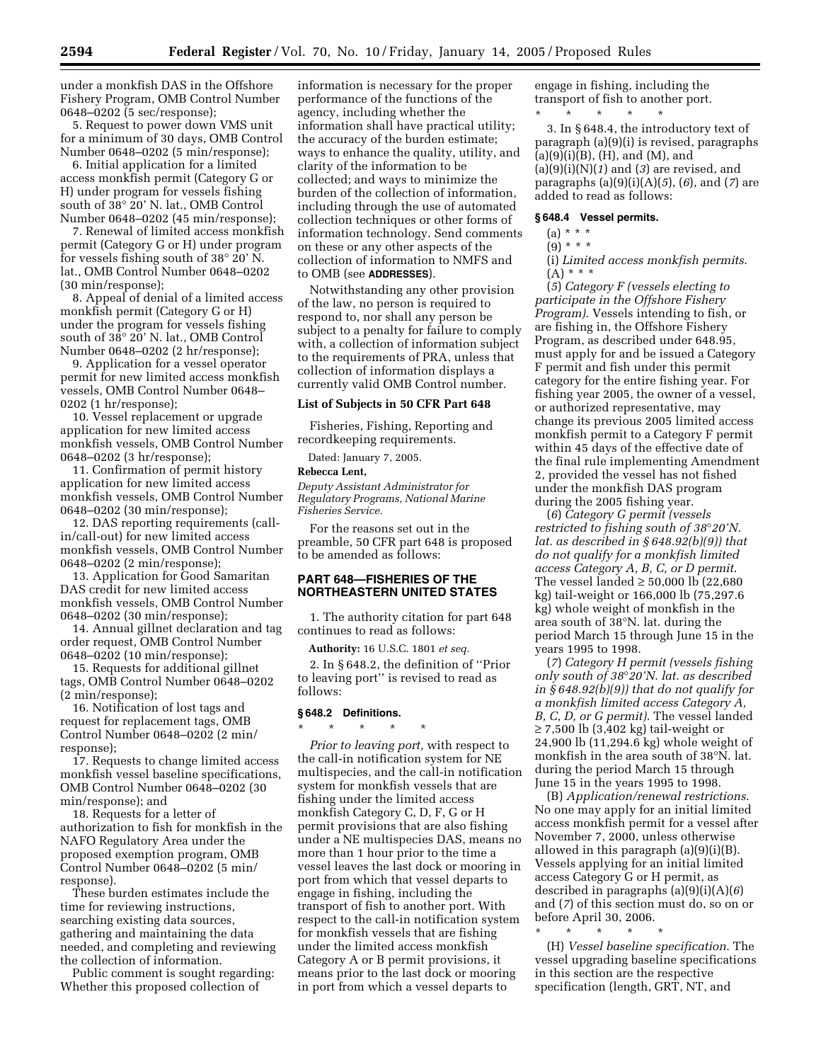under a monkfish DAS in the Offshore Fishery Program, OMB Control Number 0648–0202 (5 sec/response);

5. Request to power down VMS unit for a minimum of 30 days, OMB Control Number 0648–0202 (5 min/response);

6. Initial application for a limited access monkfish permit (Category G or H) under program for vessels fishing south of 38° 20' N. lat., OMB Control Number 0648–0202 (45 min/response);

7. Renewal of limited access monkfish permit (Category G or H) under program for vessels fishing south of 38° 20' N. lat., OMB Control Number 0648–0202 (30 min/response);

8. Appeal of denial of a limited access monkfish permit (Category G or H) under the program for vessels fishing south of 38° 20' N. lat., OMB Control Number 0648–0202 (2 hr/response);

9. Application for a vessel operator permit for new limited access monkfish vessels, OMB Control Number 0648– 0202 (1 hr/response);

10. Vessel replacement or upgrade application for new limited access monkfish vessels, OMB Control Number 0648–0202 (3 hr/response);

11. Confirmation of permit history application for new limited access monkfish vessels, OMB Control Number 0648–0202 (30 min/response);

12. DAS reporting requirements (callin/call-out) for new limited access monkfish vessels, OMB Control Number 0648–0202 (2 min/response);

13. Application for Good Samaritan DAS credit for new limited access monkfish vessels, OMB Control Number 0648–0202 (30 min/response);

14. Annual gillnet declaration and tag order request, OMB Control Number 0648–0202 (10 min/response);

15. Requests for additional gillnet tags, OMB Control Number 0648–0202 (2 min/response);

16. Notification of lost tags and request for replacement tags, OMB Control Number 0648–0202 (2 min/ response);

17. Requests to change limited access monkfish vessel baseline specifications, OMB Control Number 0648–0202 (30 min/response); and

18. Requests for a letter of authorization to fish for monkfish in the NAFO Regulatory Area under the proposed exemption program, OMB Control Number 0648–0202 (5 min/ response).

These burden estimates include the time for reviewing instructions, searching existing data sources, gathering and maintaining the data needed, and completing and reviewing the collection of information.

Public comment is sought regarding: Whether this proposed collection of

information is necessary for the proper performance of the functions of the agency, including whether the information shall have practical utility; the accuracy of the burden estimate; ways to enhance the quality, utility, and clarity of the information to be collected; and ways to minimize the burden of the collection of information, including through the use of automated collection techniques or other forms of information technology. Send comments on these or any other aspects of the collection of information to NMFS and to OMB (see **ADDRESSES**).

Notwithstanding any other provision of the law, no person is required to respond to, nor shall any person be subject to a penalty for failure to comply with, a collection of information subject to the requirements of PRA, unless that collection of information displays a currently valid OMB Control number.

#### **List of Subjects in 50 CFR Part 648**

Fisheries, Fishing, Reporting and recordkeeping requirements.

Dated: January 7, 2005.

#### **Rebecca Lent,**

*Deputy Assistant Administrator for Regulatory Programs, National Marine Fisheries Service.*

For the reasons set out in the preamble, 50 CFR part 648 is proposed to be amended as follows:

## **PART 648—FISHERIES OF THE NORTHEASTERN UNITED STATES**

1. The authority citation for part 648 continues to read as follows:

**Authority:** 16 U.S.C. 1801 *et seq.*

2. In § 648.2, the definition of ''Prior to leaving port'' is revised to read as follows:

## **§ 648.2 Definitions.**

\* \* \* \* \*

*Prior to leaving port,* with respect to the call-in notification system for NE multispecies, and the call-in notification system for monkfish vessels that are fishing under the limited access monkfish Category C, D, F, G or H permit provisions that are also fishing under a NE multispecies DAS, means no more than 1 hour prior to the time a vessel leaves the last dock or mooring in port from which that vessel departs to engage in fishing, including the transport of fish to another port. With respect to the call-in notification system for monkfish vessels that are fishing under the limited access monkfish Category A or B permit provisions, it means prior to the last dock or mooring in port from which a vessel departs to

engage in fishing, including the transport of fish to another port. \* \* \* \* \*

3. In § 648.4, the introductory text of paragraph (a)(9)(i) is revised, paragraphs  $(a)(9)(i)(B)$ ,  $(H)$ , and  $(M)$ , and (a)(9)(i)(N)(*1*) and (*3*) are revised, and paragraphs (a)(9)(i)(A)(*5*), (*6*), and (*7*) are added to read as follows:

#### **§ 648.4 Vessel permits.**

# (a) \* \* \*

 $(9) * * * *$ 

(i) *Limited access monkfish permits*. (A) \* \* \*

(*5*) *Category F (vessels electing to participate in the Offshore Fishery Program)*. Vessels intending to fish, or are fishing in, the Offshore Fishery Program, as described under 648.95, must apply for and be issued a Category F permit and fish under this permit category for the entire fishing year. For fishing year 2005, the owner of a vessel, or authorized representative, may change its previous 2005 limited access monkfish permit to a Category F permit within 45 days of the effective date of the final rule implementing Amendment 2, provided the vessel has not fished under the monkfish DAS program during the 2005 fishing year.

(*6*) *Category G permit (vessels restricted to fishing south of 38*°*20'N. lat. as described in § 648.92(b)(9)) that do not qualify for a monkfish limited access Category A, B, C, or D permit*. The vessel landed  $\geq 50,000$  lb (22,680 kg) tail-weight or 166,000 lb (75,297.6 kg) whole weight of monkfish in the area south of 38°N. lat. during the period March 15 through June 15 in the years 1995 to 1998.

(*7*) *Category H permit (vessels fishing only south of 38*°*20'N. lat. as described in § 648.92(b)(9)) that do not qualify for a monkfish limited access Category A, B, C, D, or G permit)*. The vessel landed ≥ 7,500 lb (3,402 kg) tail-weight or 24,900 lb (11,294.6 kg) whole weight of monkfish in the area south of 38°N. lat. during the period March 15 through June 15 in the years 1995 to 1998.

(B) *Application/renewal restrictions*. No one may apply for an initial limited access monkfish permit for a vessel after November 7, 2000, unless otherwise allowed in this paragraph (a)(9)(i)(B). Vessels applying for an initial limited access Category G or H permit, as described in paragraphs (a)(9)(i)(A)(*6*) and (*7*) of this section must do, so on or before April 30, 2006.

\* \* \* \* \* (H) *Vessel baseline specification*. The vessel upgrading baseline specifications in this section are the respective specification (length, GRT, NT, and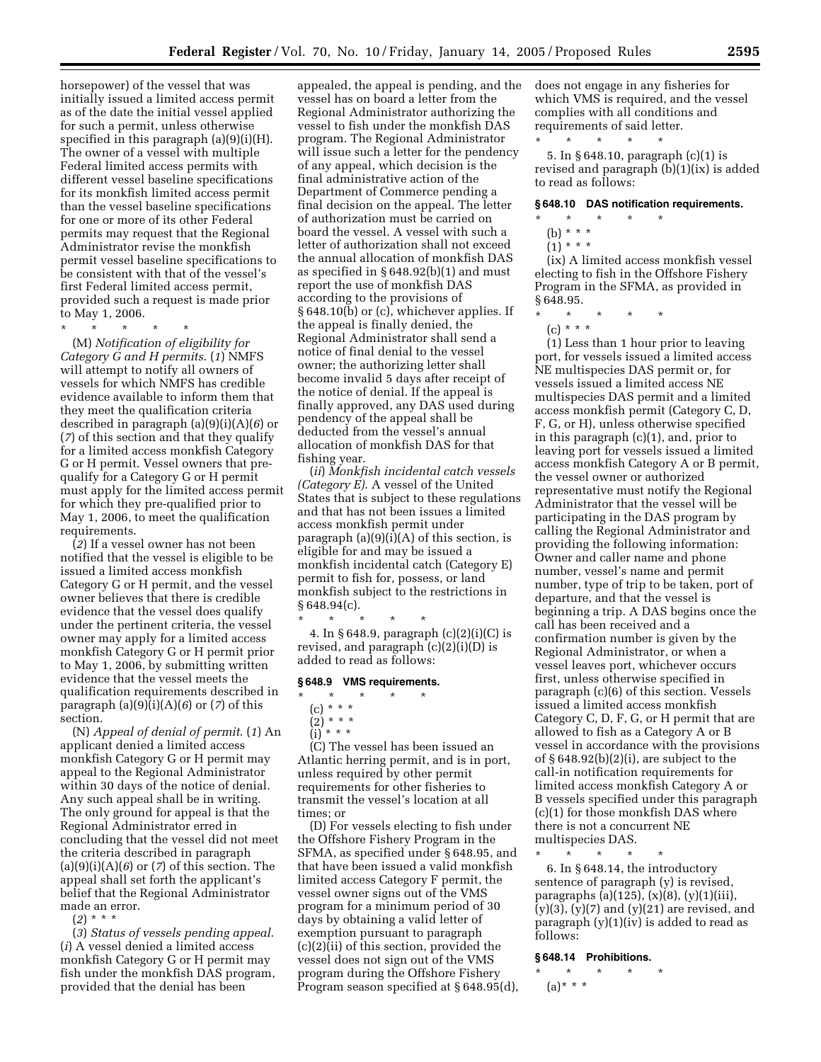horsepower) of the vessel that was initially issued a limited access permit as of the date the initial vessel applied for such a permit, unless otherwise specified in this paragraph (a)(9)(i)(H). The owner of a vessel with multiple Federal limited access permits with different vessel baseline specifications for its monkfish limited access permit than the vessel baseline specifications for one or more of its other Federal permits may request that the Regional Administrator revise the monkfish permit vessel baseline specifications to be consistent with that of the vessel's first Federal limited access permit, provided such a request is made prior to May 1, 2006.

\* \* \* \* \* (M) *Notification of eligibility for Category G and H permits*. (*1*) NMFS will attempt to notify all owners of vessels for which NMFS has credible evidence available to inform them that they meet the qualification criteria described in paragraph (a)(9)(i)(A)(*6*) or (*7*) of this section and that they qualify for a limited access monkfish Category G or H permit. Vessel owners that prequalify for a Category G or H permit must apply for the limited access permit for which they pre-qualified prior to May 1, 2006, to meet the qualification requirements.

(*2*) If a vessel owner has not been notified that the vessel is eligible to be issued a limited access monkfish Category G or H permit, and the vessel owner believes that there is credible evidence that the vessel does qualify under the pertinent criteria, the vessel owner may apply for a limited access monkfish Category G or H permit prior to May 1, 2006, by submitting written evidence that the vessel meets the qualification requirements described in paragraph (a)(9)(i)(A)(*6*) or (*7*) of this section.

(N) *Appeal of denial of permit*. (*1*) An applicant denied a limited access monkfish Category G or H permit may appeal to the Regional Administrator within 30 days of the notice of denial. Any such appeal shall be in writing. The only ground for appeal is that the Regional Administrator erred in concluding that the vessel did not meet the criteria described in paragraph (a)(9)(i)(A)(*6*) or (*7*) of this section. The appeal shall set forth the applicant's belief that the Regional Administrator made an error.

(*2*) \* \* \*

(*3*) *Status of vessels pending appeal*. (*i*) A vessel denied a limited access monkfish Category G or H permit may fish under the monkfish DAS program, provided that the denial has been

appealed, the appeal is pending, and the vessel has on board a letter from the Regional Administrator authorizing the vessel to fish under the monkfish DAS program. The Regional Administrator will issue such a letter for the pendency of any appeal, which decision is the final administrative action of the Department of Commerce pending a final decision on the appeal. The letter of authorization must be carried on board the vessel. A vessel with such a letter of authorization shall not exceed the annual allocation of monkfish DAS as specified in § 648.92(b)(1) and must report the use of monkfish DAS according to the provisions of § 648.10(b) or (c), whichever applies. If the appeal is finally denied, the Regional Administrator shall send a notice of final denial to the vessel owner; the authorizing letter shall become invalid 5 days after receipt of the notice of denial. If the appeal is finally approved, any DAS used during pendency of the appeal shall be deducted from the vessel's annual allocation of monkfish DAS for that fishing year.

(*ii*) *Monkfish incidental catch vessels (Category E)*. A vessel of the United States that is subject to these regulations and that has not been issues a limited access monkfish permit under paragraph  $(a)(9)(i)(A)$  of this section, is eligible for and may be issued a monkfish incidental catch (Category E) permit to fish for, possess, or land monkfish subject to the restrictions in  $§ 648.94(c).$ 

\* \* \* \* \* 4. In § 648.9, paragraph (c)(2)(i)(C) is revised, and paragraph  $(c)(2)(i)(D)$  is added to read as follows:

#### **§ 648.9 VMS requirements.**

- \* \* \* \* \*
- (c) \* \* \*
- (2) \* \* \*

(i) \* \* \* (C) The vessel has been issued an Atlantic herring permit, and is in port, unless required by other permit requirements for other fisheries to transmit the vessel's location at all times; or

(D) For vessels electing to fish under the Offshore Fishery Program in the SFMA, as specified under § 648.95, and that have been issued a valid monkfish limited access Category F permit, the vessel owner signs out of the VMS program for a minimum period of 30 days by obtaining a valid letter of exemption pursuant to paragraph (c)(2)(ii) of this section, provided the vessel does not sign out of the VMS program during the Offshore Fishery Program season specified at § 648.95(d), does not engage in any fisheries for which VMS is required, and the vessel complies with all conditions and requirements of said letter.

\* \* \* \* \* 5. In § 648.10, paragraph (c)(1) is revised and paragraph (b)(1)(ix) is added to read as follows:

#### **§ 648.10 DAS notification requirements.**

- \* \* \* \* \*
- (b) \* \* \*  $(1) * * * *$

(ix) A limited access monkfish vessel electing to fish in the Offshore Fishery Program in the SFMA, as provided in § 648.95.

 $\star$ 

 $(c) * * * *$ 

(1) Less than 1 hour prior to leaving port, for vessels issued a limited access NE multispecies DAS permit or, for vessels issued a limited access NE multispecies DAS permit and a limited access monkfish permit (Category C, D, F, G, or H), unless otherwise specified in this paragraph (c)(1), and, prior to leaving port for vessels issued a limited access monkfish Category A or B permit, the vessel owner or authorized representative must notify the Regional Administrator that the vessel will be participating in the DAS program by calling the Regional Administrator and providing the following information: Owner and caller name and phone number, vessel's name and permit number, type of trip to be taken, port of departure, and that the vessel is beginning a trip. A DAS begins once the call has been received and a confirmation number is given by the Regional Administrator, or when a vessel leaves port, whichever occurs first, unless otherwise specified in paragraph (c)(6) of this section. Vessels issued a limited access monkfish Category C, D, F, G, or H permit that are allowed to fish as a Category A or B vessel in accordance with the provisions of § 648.92(b)(2)(i), are subject to the call-in notification requirements for limited access monkfish Category A or B vessels specified under this paragraph (c)(1) for those monkfish DAS where there is not a concurrent NE multispecies DAS.

\* \* \* \* \*

6. In § 648.14, the introductory sentence of paragraph (y) is revised, paragraphs (a)(125),  $(x)(8)$ ,  $(y)(1)(iii)$ ,  $(y)(3)$ ,  $(y)(7)$  and  $(y)(21)$  are revised, and paragraph  $(y)(1)(iv)$  is added to read as follows:

## **§ 648.14 Prohibitions.**

\* \* \* \* \* (a)\* \* \*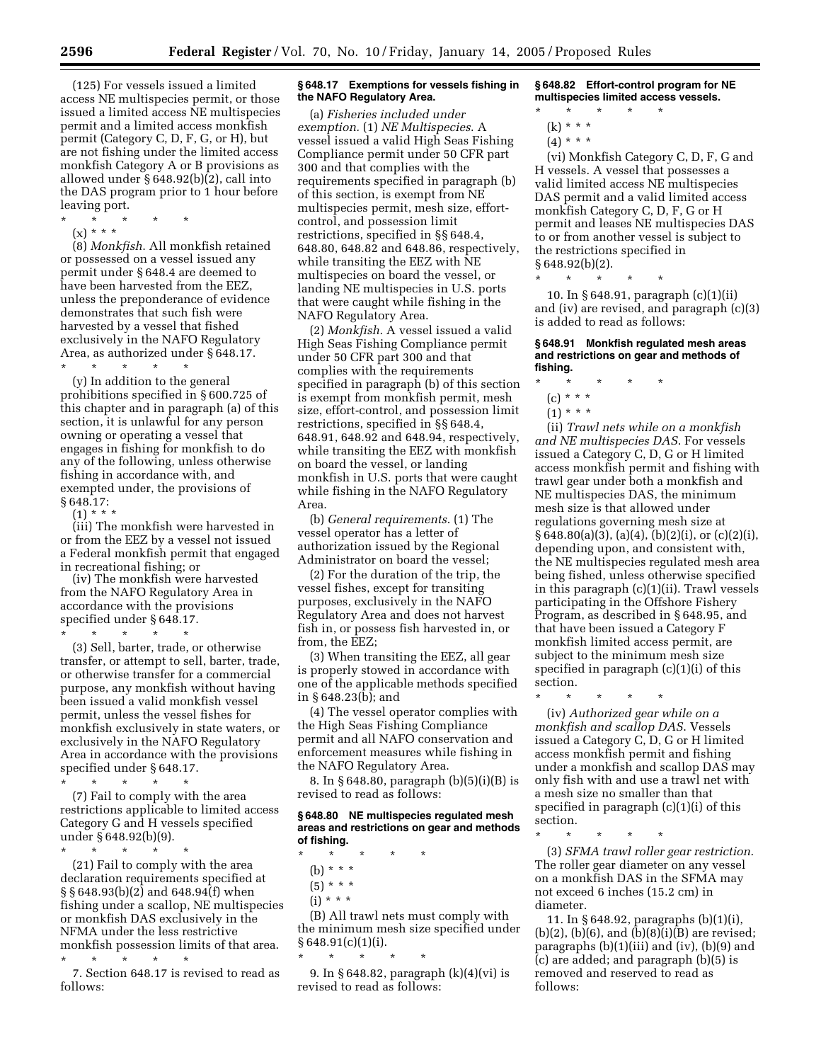(125) For vessels issued a limited access NE multispecies permit, or those issued a limited access NE multispecies permit and a limited access monkfish permit (Category C, D, F, G, or H), but are not fishing under the limited access monkfish Category A or B provisions as allowed under § 648.92(b)(2), call into the DAS program prior to 1 hour before leaving port.

- \* \* \* \* \*
	- (x) \* \* \*

(8) *Monkfish*. All monkfish retained or possessed on a vessel issued any permit under § 648.4 are deemed to have been harvested from the EEZ, unless the preponderance of evidence demonstrates that such fish were harvested by a vessel that fished exclusively in the NAFO Regulatory Area, as authorized under § 648.17. \* \* \* \* \*

(y) In addition to the general prohibitions specified in § 600.725 of this chapter and in paragraph (a) of this section, it is unlawful for any person owning or operating a vessel that engages in fishing for monkfish to do any of the following, unless otherwise fishing in accordance with, and exempted under, the provisions of § 648.17:

 $(1) * * *$ 

(iii) The monkfish were harvested in or from the EEZ by a vessel not issued a Federal monkfish permit that engaged in recreational fishing; or

(iv) The monkfish were harvested from the NAFO Regulatory Area in accordance with the provisions specified under § 648.17.

\* \* \* \* \*

(3) Sell, barter, trade, or otherwise transfer, or attempt to sell, barter, trade, or otherwise transfer for a commercial purpose, any monkfish without having been issued a valid monkfish vessel permit, unless the vessel fishes for monkfish exclusively in state waters, or exclusively in the NAFO Regulatory Area in accordance with the provisions specified under § 648.17.

\* \* \* \* \* (7) Fail to comply with the area restrictions applicable to limited access Category G and H vessels specified under § 648.92(b)(9).

\* \* \* \* \*

(21) Fail to comply with the area declaration requirements specified at  $\S$ § 648.93(b)(2) and 648.94(f) when fishing under a scallop, NE multispecies or monkfish DAS exclusively in the NFMA under the less restrictive monkfish possession limits of that area.

\* \* \* \* \* 7. Section 648.17 is revised to read as follows:

#### **§ 648.17 Exemptions for vessels fishing in the NAFO Regulatory Area.**

(a) *Fisheries included under exemption.* (1) *NE Multispecies*. A vessel issued a valid High Seas Fishing Compliance permit under 50 CFR part 300 and that complies with the requirements specified in paragraph (b) of this section, is exempt from NE multispecies permit, mesh size, effortcontrol, and possession limit restrictions, specified in §§ 648.4, 648.80, 648.82 and 648.86, respectively, while transiting the EEZ with NE multispecies on board the vessel, or landing NE multispecies in U.S. ports that were caught while fishing in the NAFO Regulatory Area.

(2) *Monkfish*. A vessel issued a valid High Seas Fishing Compliance permit under 50 CFR part 300 and that complies with the requirements specified in paragraph (b) of this section is exempt from monkfish permit, mesh size, effort-control, and possession limit restrictions, specified in §§ 648.4, 648.91, 648.92 and 648.94, respectively, while transiting the EEZ with monkfish on board the vessel, or landing monkfish in U.S. ports that were caught while fishing in the NAFO Regulatory Area.

(b) *General requirements*. (1) The vessel operator has a letter of authorization issued by the Regional Administrator on board the vessel;

(2) For the duration of the trip, the vessel fishes, except for transiting purposes, exclusively in the NAFO Regulatory Area and does not harvest fish in, or possess fish harvested in, or from, the EEZ;

(3) When transiting the EEZ, all gear is properly stowed in accordance with one of the applicable methods specified in § 648.23(b); and

(4) The vessel operator complies with the High Seas Fishing Compliance permit and all NAFO conservation and enforcement measures while fishing in the NAFO Regulatory Area.

8. In § 648.80, paragraph (b)(5)(i)(B) is revised to read as follows:

#### **§ 648.80 NE multispecies regulated mesh areas and restrictions on gear and methods of fishing.**

\* \* \* \* \* (b) \* \* \*

\* \* \* \* \*

- $(5) * * *$
- (i) \* \* \*

(B) All trawl nets must comply with the minimum mesh size specified under § 648.91(c)(1)(i).

9. In § 648.82, paragraph (k)(4)(vi) is revised to read as follows:

**§ 648.82 Effort-control program for NE multispecies limited access vessels.**

- \* \* \* \* \*
	- (k) \* \* \*  $(4) * * * *$
	-

(vi) Monkfish Category C, D, F, G and H vessels. A vessel that possesses a valid limited access NE multispecies DAS permit and a valid limited access monkfish Category C, D, F, G or H permit and leases NE multispecies DAS to or from another vessel is subject to the restrictions specified in § 648.92(b)(2).

\* \* \* \* \*

10. In § 648.91, paragraph (c)(1)(ii) and (iv) are revised, and paragraph (c)(3) is added to read as follows:

#### **§ 648.91 Monkfish regulated mesh areas and restrictions on gear and methods of fishing.**

- \* \* \* \* \*
	- (c) \* \* \*
	- $(1) * * * *$

(ii) *Trawl nets while on a monkfish and NE multispecies DAS*. For vessels issued a Category C, D, G or H limited access monkfish permit and fishing with trawl gear under both a monkfish and NE multispecies DAS, the minimum mesh size is that allowed under regulations governing mesh size at  $§ 648.80(a)(3), (a)(4), (b)(2)(i), or (c)(2)(i),$ depending upon, and consistent with, the NE multispecies regulated mesh area being fished, unless otherwise specified in this paragraph (c)(1)(ii). Trawl vessels participating in the Offshore Fishery Program, as described in § 648.95, and that have been issued a Category F monkfish limited access permit, are subject to the minimum mesh size specified in paragraph (c)(1)(i) of this section.

\* \* \* \* \*

(iv) *Authorized gear while on a monkfish and scallop DAS*. Vessels issued a Category C, D, G or H limited access monkfish permit and fishing under a monkfish and scallop DAS may only fish with and use a trawl net with a mesh size no smaller than that specified in paragraph (c)(1)(i) of this section.

\* \* \* \* \*

(3) *SFMA trawl roller gear restriction*. The roller gear diameter on any vessel on a monkfish DAS in the SFMA may not exceed 6 inches (15.2 cm) in diameter.

11. In § 648.92, paragraphs (b)(1)(i),  $(b)(2)$ ,  $(b)(6)$ , and  $(b)(8)(i)(B)$  are revised; paragraphs  $(b)(1)(iii)$  and  $(iv)$ ,  $(b)(9)$  and (c) are added; and paragraph (b)(5) is removed and reserved to read as follows: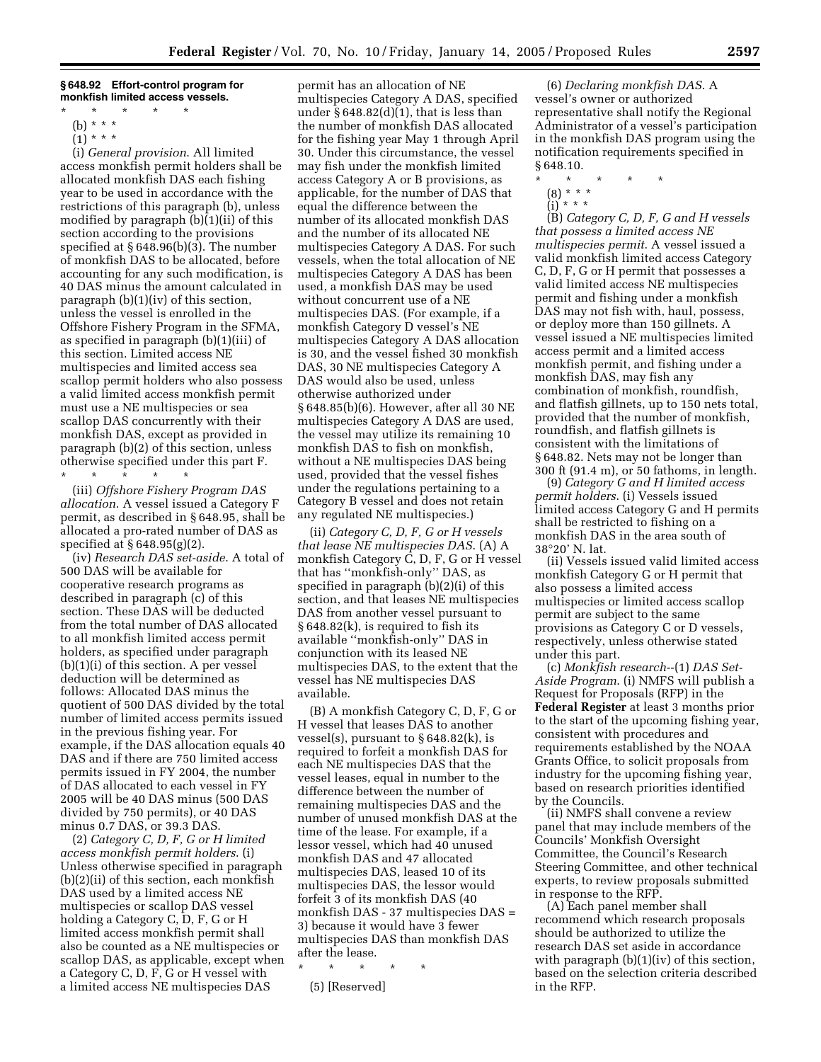**§ 648.92 Effort-control program for monkfish limited access vessels.**

(b) \* \* \*  $(1) * * * *$ 

(i) *General provision*. All limited access monkfish permit holders shall be allocated monkfish DAS each fishing year to be used in accordance with the restrictions of this paragraph (b), unless modified by paragraph  $(b)(1)(ii)$  of this section according to the provisions specified at § 648.96(b)(3). The number of monkfish DAS to be allocated, before accounting for any such modification, is 40 DAS minus the amount calculated in paragraph (b)(1)(iv) of this section, unless the vessel is enrolled in the Offshore Fishery Program in the SFMA, as specified in paragraph (b)(1)(iii) of this section. Limited access NE multispecies and limited access sea scallop permit holders who also possess a valid limited access monkfish permit must use a NE multispecies or sea scallop DAS concurrently with their monkfish DAS, except as provided in paragraph (b)(2) of this section, unless otherwise specified under this part F.

\* \* \* \* \*

(iii) *Offshore Fishery Program DAS allocation*. A vessel issued a Category F permit, as described in § 648.95, shall be allocated a pro-rated number of DAS as specified at § 648.95(g)(2).

(iv) *Research DAS set-aside*. A total of 500 DAS will be available for cooperative research programs as described in paragraph (c) of this section. These DAS will be deducted from the total number of DAS allocated to all monkfish limited access permit holders, as specified under paragraph (b)(1)(i) of this section. A per vessel deduction will be determined as follows: Allocated DAS minus the quotient of 500 DAS divided by the total number of limited access permits issued in the previous fishing year. For example, if the DAS allocation equals 40 DAS and if there are 750 limited access permits issued in FY 2004, the number of DAS allocated to each vessel in FY 2005 will be 40 DAS minus (500 DAS divided by 750 permits), or 40 DAS minus 0.7 DAS, or 39.3 DAS.

(2) *Category C, D, F, G or H limited access monkfish permit holders*. (i) Unless otherwise specified in paragraph (b)(2)(ii) of this section, each monkfish DAS used by a limited access NE multispecies or scallop DAS vessel holding a Category C, D, F, G or H limited access monkfish permit shall also be counted as a NE multispecies or scallop DAS, as applicable, except when a Category C, D, F, G or H vessel with a limited access NE multispecies DAS

permit has an allocation of NE multispecies Category A DAS, specified under  $\S 648.82(d)(1)$ , that is less than the number of monkfish DAS allocated for the fishing year May 1 through April 30. Under this circumstance, the vessel may fish under the monkfish limited access Category A or B provisions, as applicable, for the number of DAS that equal the difference between the number of its allocated monkfish DAS and the number of its allocated NE multispecies Category A DAS. For such vessels, when the total allocation of NE multispecies Category A DAS has been used, a monkfish DAS may be used without concurrent use of a NE multispecies DAS. (For example, if a monkfish Category D vessel's NE multispecies Category A DAS allocation is 30, and the vessel fished 30 monkfish DAS, 30 NE multispecies Category A DAS would also be used, unless otherwise authorized under § 648.85(b)(6). However, after all 30 NE multispecies Category A DAS are used, the vessel may utilize its remaining 10 monkfish DAS to fish on monkfish, without a NE multispecies DAS being used, provided that the vessel fishes under the regulations pertaining to a Category B vessel and does not retain any regulated NE multispecies.)

(ii) *Category C, D, F, G or H vessels that lease NE multispecies DAS*. (A) A monkfish Category C, D, F, G or H vessel that has ''monkfish-only'' DAS, as specified in paragraph (b)(2)(i) of this section, and that leases NE multispecies DAS from another vessel pursuant to § 648.82(k), is required to fish its available ''monkfish-only'' DAS in conjunction with its leased NE multispecies DAS, to the extent that the vessel has NE multispecies DAS available.

(B) A monkfish Category C, D, F, G or H vessel that leases DAS to another vessel(s), pursuant to § 648.82(k), is required to forfeit a monkfish DAS for each NE multispecies DAS that the vessel leases, equal in number to the difference between the number of remaining multispecies DAS and the number of unused monkfish DAS at the time of the lease. For example, if a lessor vessel, which had 40 unused monkfish DAS and 47 allocated multispecies DAS, leased 10 of its multispecies DAS, the lessor would forfeit 3 of its monkfish DAS (40 monkfish DAS - 37 multispecies DAS = 3) because it would have 3 fewer multispecies DAS than monkfish DAS after the lease.

\* \* \* \* \*

(5) [Reserved]

(6) *Declaring monkfish DAS*. A vessel's owner or authorized representative shall notify the Regional Administrator of a vessel's participation in the monkfish DAS program using the notification requirements specified in § 648.10.

- \* \* \* \* \*
	- (8) \* \* \*
	- $(i) * * * *$

(B) *Category C, D, F, G and H vessels that possess a limited access NE multispecies permit*. A vessel issued a valid monkfish limited access Category C, D, F, G or H permit that possesses a valid limited access NE multispecies permit and fishing under a monkfish DAS may not fish with, haul, possess, or deploy more than 150 gillnets. A vessel issued a NE multispecies limited access permit and a limited access monkfish permit, and fishing under a monkfish DAS, may fish any combination of monkfish, roundfish, and flatfish gillnets, up to 150 nets total, provided that the number of monkfish, roundfish, and flatfish gillnets is consistent with the limitations of § 648.82. Nets may not be longer than 300 ft (91.4 m), or 50 fathoms, in length.

(9) *Category G and H limited access permit holders*. (i) Vessels issued limited access Category G and H permits shall be restricted to fishing on a monkfish DAS in the area south of 38°20' N. lat.

(ii) Vessels issued valid limited access monkfish Category G or H permit that also possess a limited access multispecies or limited access scallop permit are subject to the same provisions as Category C or D vessels, respectively, unless otherwise stated under this part.

(c) *Monkfish research*--(1) *DAS Set-Aside Program*. (i) NMFS will publish a Request for Proposals (RFP) in the **Federal Register** at least 3 months prior to the start of the upcoming fishing year, consistent with procedures and requirements established by the NOAA Grants Office, to solicit proposals from industry for the upcoming fishing year, based on research priorities identified by the Councils.

(ii) NMFS shall convene a review panel that may include members of the Councils' Monkfish Oversight Committee, the Council's Research Steering Committee, and other technical experts, to review proposals submitted in response to the RFP.

(A) Each panel member shall recommend which research proposals should be authorized to utilize the research DAS set aside in accordance with paragraph (b)(1)(iv) of this section, based on the selection criteria described in the RFP.

<sup>\* \* \* \* \*</sup>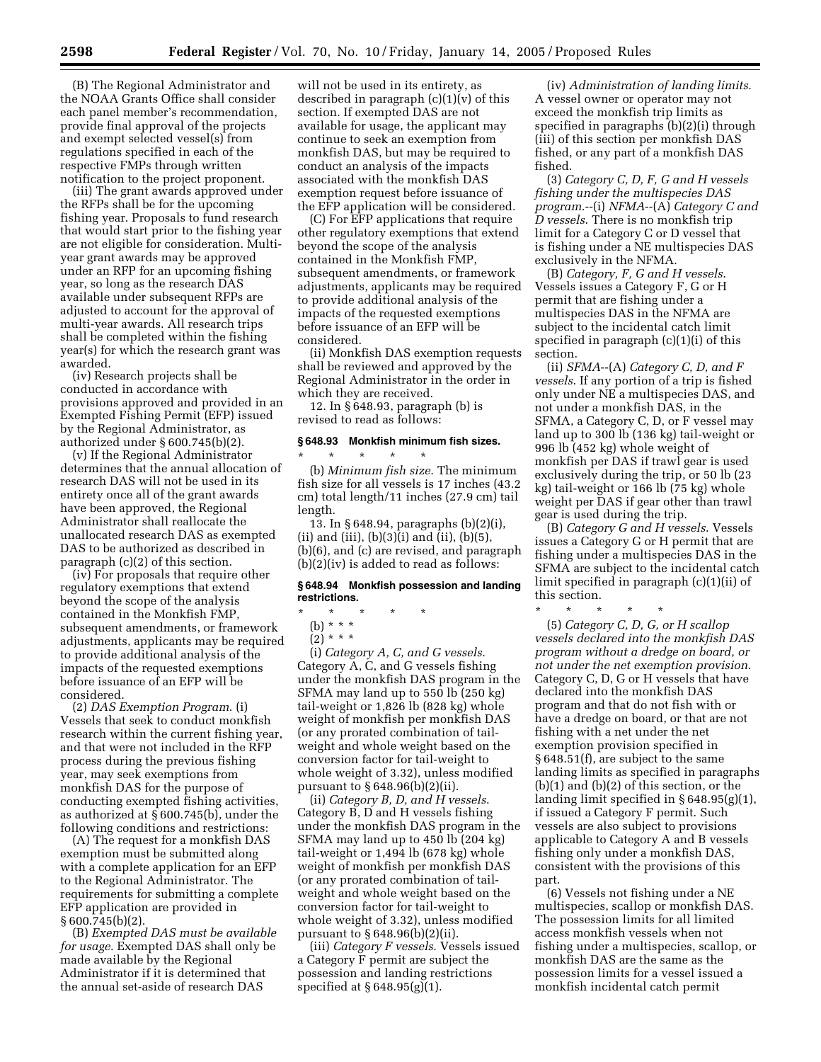(B) The Regional Administrator and the NOAA Grants Office shall consider each panel member's recommendation, provide final approval of the projects and exempt selected vessel(s) from regulations specified in each of the respective FMPs through written notification to the project proponent.

(iii) The grant awards approved under the RFPs shall be for the upcoming fishing year. Proposals to fund research that would start prior to the fishing year are not eligible for consideration. Multiyear grant awards may be approved under an RFP for an upcoming fishing year, so long as the research DAS available under subsequent RFPs are adjusted to account for the approval of multi-year awards. All research trips shall be completed within the fishing year(s) for which the research grant was awarded.

(iv) Research projects shall be conducted in accordance with provisions approved and provided in an Exempted Fishing Permit (EFP) issued by the Regional Administrator, as authorized under § 600.745(b)(2).

(v) If the Regional Administrator determines that the annual allocation of research DAS will not be used in its entirety once all of the grant awards have been approved, the Regional Administrator shall reallocate the unallocated research DAS as exempted DAS to be authorized as described in paragraph (c)(2) of this section.

(iv) For proposals that require other regulatory exemptions that extend beyond the scope of the analysis contained in the Monkfish FMP, subsequent amendments, or framework adjustments, applicants may be required to provide additional analysis of the impacts of the requested exemptions before issuance of an EFP will be considered.

(2) *DAS Exemption Program*. (i) Vessels that seek to conduct monkfish research within the current fishing year, and that were not included in the RFP process during the previous fishing year, may seek exemptions from monkfish DAS for the purpose of conducting exempted fishing activities, as authorized at § 600.745(b), under the following conditions and restrictions:

(A) The request for a monkfish DAS exemption must be submitted along with a complete application for an EFP to the Regional Administrator. The requirements for submitting a complete EFP application are provided in § 600.745(b)(2).

(B) *Exempted DAS must be available for usage*. Exempted DAS shall only be made available by the Regional Administrator if it is determined that the annual set-aside of research DAS

will not be used in its entirety, as described in paragraph  $(c)(1)(v)$  of this section. If exempted DAS are not available for usage, the applicant may continue to seek an exemption from monkfish DAS, but may be required to conduct an analysis of the impacts associated with the monkfish DAS exemption request before issuance of the EFP application will be considered.

(C) For EFP applications that require other regulatory exemptions that extend beyond the scope of the analysis contained in the Monkfish FMP, subsequent amendments, or framework adjustments, applicants may be required to provide additional analysis of the impacts of the requested exemptions before issuance of an EFP will be considered.

(ii) Monkfish DAS exemption requests shall be reviewed and approved by the Regional Administrator in the order in which they are received.

12. In § 648.93, paragraph (b) is revised to read as follows:

# **§ 648.93 Monkfish minimum fish sizes.** \* \* \* \* \*

(b) *Minimum fish size*. The minimum fish size for all vessels is 17 inches (43.2 cm) total length/11 inches (27.9 cm) tail length.

13. In § 648.94, paragraphs (b)(2)(i), (ii) and (iii),  $(b)(3)(i)$  and (ii),  $(b)(5)$ , (b)(6), and (c) are revised, and paragraph (b)(2)(iv) is added to read as follows:

#### **§ 648.94 Monkfish possession and landing restrictions.**

\* \* \* \* \*

(b) \* \* \*

 $(2) * * * *$ 

(i) *Category A, C, and G vessels*. Category A, C, and G vessels fishing under the monkfish DAS program in the SFMA may land up to 550 lb (250 kg) tail-weight or 1,826 lb (828 kg) whole weight of monkfish per monkfish DAS (or any prorated combination of tailweight and whole weight based on the conversion factor for tail-weight to whole weight of 3.32), unless modified pursuant to § 648.96(b)(2)(ii).

(ii) *Category B, D, and H vessels*. Category B, D and H vessels fishing under the monkfish DAS program in the SFMA may land up to 450 lb (204 kg) tail-weight or 1,494 lb (678 kg) whole weight of monkfish per monkfish DAS (or any prorated combination of tailweight and whole weight based on the conversion factor for tail-weight to whole weight of 3.32), unless modified pursuant to § 648.96(b)(2)(ii).

(iii) *Category F vessels*. Vessels issued a Category F permit are subject the possession and landing restrictions specified at § 648.95(g)(1).

(iv) *Administration of landing limits*. A vessel owner or operator may not exceed the monkfish trip limits as specified in paragraphs (b)(2)(i) through (iii) of this section per monkfish DAS fished, or any part of a monkfish DAS fished.

(3) *Category C, D, F, G and H vessels fishing under the multispecies DAS program*.--(i) *NFMA*--(A) *Category C and D vessels*. There is no monkfish trip limit for a Category C or D vessel that is fishing under a NE multispecies DAS exclusively in the NFMA.

(B) *Category, F, G and H vessels*. Vessels issues a Category F, G or H permit that are fishing under a multispecies DAS in the NFMA are subject to the incidental catch limit specified in paragraph (c)(1)(i) of this section.

(ii) *SFMA*--(A) *Category C, D, and F vessels*. If any portion of a trip is fished only under NE a multispecies DAS, and not under a monkfish DAS, in the SFMA, a Category C, D, or F vessel may land up to 300 lb (136 kg) tail-weight or 996 lb (452 kg) whole weight of monkfish per DAS if trawl gear is used exclusively during the trip, or 50 lb (23 kg) tail-weight or 166 lb (75 kg) whole weight per DAS if gear other than trawl gear is used during the trip.

(B) *Category G and H vessels*. Vessels issues a Category G or H permit that are fishing under a multispecies DAS in the SFMA are subject to the incidental catch limit specified in paragraph (c)(1)(ii) of this section.

\* \* \* \* \*

(5) *Category C, D, G, or H scallop vessels declared into the monkfish DAS program without a dredge on board, or not under the net exemption provision*. Category C, D, G or H vessels that have declared into the monkfish DAS program and that do not fish with or have a dredge on board, or that are not fishing with a net under the net exemption provision specified in § 648.51(f), are subject to the same landing limits as specified in paragraphs (b)(1) and (b)(2) of this section, or the landing limit specified in § 648.95(g)(1), if issued a Category F permit. Such vessels are also subject to provisions applicable to Category A and B vessels fishing only under a monkfish DAS, consistent with the provisions of this part.

(6) Vessels not fishing under a NE multispecies, scallop or monkfish DAS. The possession limits for all limited access monkfish vessels when not fishing under a multispecies, scallop, or monkfish DAS are the same as the possession limits for a vessel issued a monkfish incidental catch permit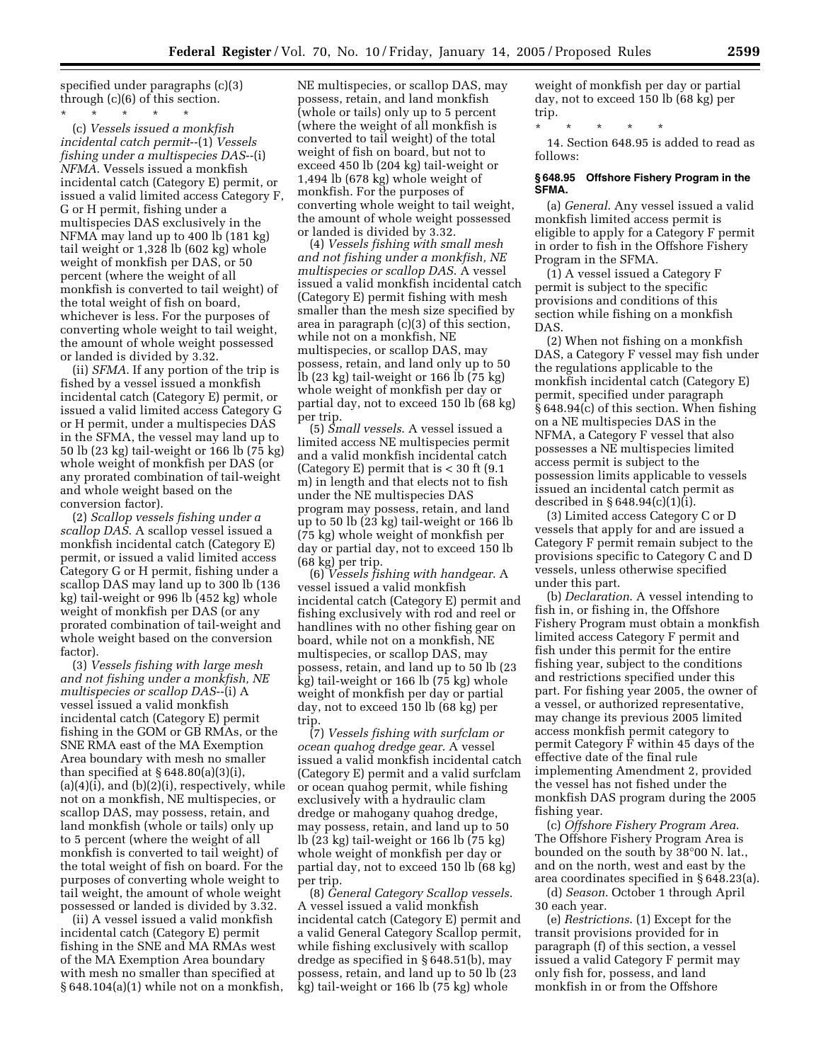specified under paragraphs (c)(3) through (c)(6) of this section.

\* \* \* \* \* (c) *Vessels issued a monkfish incidental catch permit*--(1) *Vessels fishing under a multispecies DAS*--(i) *NFMA*. Vessels issued a monkfish incidental catch (Category E) permit, or issued a valid limited access Category F, G or H permit, fishing under a multispecies DAS exclusively in the NFMA may land up to 400 lb (181 kg) tail weight or 1,328 lb (602 kg) whole weight of monkfish per DAS, or 50 percent (where the weight of all monkfish is converted to tail weight) of the total weight of fish on board, whichever is less. For the purposes of converting whole weight to tail weight, the amount of whole weight possessed or landed is divided by 3.32.

(ii) *SFMA*. If any portion of the trip is fished by a vessel issued a monkfish incidental catch (Category E) permit, or issued a valid limited access Category G or H permit, under a multispecies DAS in the SFMA, the vessel may land up to 50 lb (23 kg) tail-weight or 166 lb (75 kg) whole weight of monkfish per DAS (or any prorated combination of tail-weight and whole weight based on the conversion factor).

(2) *Scallop vessels fishing under a scallop DAS*. A scallop vessel issued a monkfish incidental catch (Category E) permit, or issued a valid limited access Category G or H permit, fishing under a scallop DAS may land up to 300 lb (136 kg) tail-weight or 996 lb (452 kg) whole weight of monkfish per DAS (or any prorated combination of tail-weight and whole weight based on the conversion factor).

(3) *Vessels fishing with large mesh and not fishing under a monkfish, NE multispecies or scallop DAS*--(i) A vessel issued a valid monkfish incidental catch (Category E) permit fishing in the GOM or GB RMAs, or the SNE RMA east of the MA Exemption Area boundary with mesh no smaller than specified at  $§ 648.80(a)(3)(i),$  $(a)(4)(i)$ , and  $(b)(2)(i)$ , respectively, while not on a monkfish, NE multispecies, or scallop DAS, may possess, retain, and land monkfish (whole or tails) only up to 5 percent (where the weight of all monkfish is converted to tail weight) of the total weight of fish on board. For the purposes of converting whole weight to tail weight, the amount of whole weight possessed or landed is divided by 3.32.

(ii) A vessel issued a valid monkfish incidental catch (Category E) permit fishing in the SNE and MA RMAs west of the MA Exemption Area boundary with mesh no smaller than specified at § 648.104(a)(1) while not on a monkfish,

NE multispecies, or scallop DAS, may possess, retain, and land monkfish (whole or tails) only up to 5 percent (where the weight of all monkfish is converted to tail weight) of the total weight of fish on board, but not to exceed 450 lb (204 kg) tail-weight or 1,494 lb (678 kg) whole weight of monkfish. For the purposes of converting whole weight to tail weight, the amount of whole weight possessed or landed is divided by 3.32.

(4) *Vessels fishing with small mesh and not fishing under a monkfish, NE multispecies or scallop DAS*. A vessel issued a valid monkfish incidental catch (Category E) permit fishing with mesh smaller than the mesh size specified by area in paragraph (c)(3) of this section, while not on a monkfish, NE multispecies, or scallop DAS, may possess, retain, and land only up to 50 lb (23 kg) tail-weight or 166 lb (75 kg) whole weight of monkfish per day or partial day, not to exceed 150 lb (68 kg) per trip.

(5) *Small vessels*. A vessel issued a limited access NE multispecies permit and a valid monkfish incidental catch (Category E) permit that is  $<$  30 ft (9.1) m) in length and that elects not to fish under the NE multispecies DAS program may possess, retain, and land up to 50 lb (23 kg) tail-weight or 166 lb (75 kg) whole weight of monkfish per day or partial day, not to exceed 150 lb (68 kg) per trip.

(6) *Vessels fishing with handgear*. A vessel issued a valid monkfish incidental catch (Category E) permit and fishing exclusively with rod and reel or handlines with no other fishing gear on board, while not on a monkfish, NE multispecies, or scallop DAS, may possess, retain, and land up to 50 lb (23 kg) tail-weight or 166 lb (75 kg) whole weight of monkfish per day or partial day, not to exceed 150 lb (68 kg) per trip.

(7) *Vessels fishing with surfclam or ocean quahog dredge gear*. A vessel issued a valid monkfish incidental catch (Category E) permit and a valid surfclam or ocean quahog permit, while fishing exclusively with a hydraulic clam dredge or mahogany quahog dredge, may possess, retain, and land up to 50 lb (23 kg) tail-weight or 166 lb (75 kg) whole weight of monkfish per day or partial day, not to exceed 150 lb (68 kg) per trip.

(8) *General Category Scallop vessels*. A vessel issued a valid monkfish incidental catch (Category E) permit and a valid General Category Scallop permit, while fishing exclusively with scallop dredge as specified in § 648.51(b), may possess, retain, and land up to 50 lb (23 kg) tail-weight or 166 lb (75 kg) whole

weight of monkfish per day or partial day, not to exceed 150 lb (68 kg) per trip.

\* \* \* \* \*

14. Section 648.95 is added to read as follows:

#### **§ 648.95 Offshore Fishery Program in the SFMA.**

(a) *General*. Any vessel issued a valid monkfish limited access permit is eligible to apply for a Category F permit in order to fish in the Offshore Fishery Program in the SFMA.

(1) A vessel issued a Category F permit is subject to the specific provisions and conditions of this section while fishing on a monkfish DAS.

(2) When not fishing on a monkfish DAS, a Category F vessel may fish under the regulations applicable to the monkfish incidental catch (Category E) permit, specified under paragraph § 648.94(c) of this section. When fishing on a NE multispecies DAS in the NFMA, a Category F vessel that also possesses a NE multispecies limited access permit is subject to the possession limits applicable to vessels issued an incidental catch permit as described in § 648.94(c)(1)(i).

(3) Limited access Category C or D vessels that apply for and are issued a Category F permit remain subject to the provisions specific to Category C and D vessels, unless otherwise specified under this part.

(b) *Declaration*. A vessel intending to fish in, or fishing in, the Offshore Fishery Program must obtain a monkfish limited access Category F permit and fish under this permit for the entire fishing year, subject to the conditions and restrictions specified under this part. For fishing year 2005, the owner of a vessel, or authorized representative, may change its previous 2005 limited access monkfish permit category to permit Category F within 45 days of the effective date of the final rule implementing Amendment 2, provided the vessel has not fished under the monkfish DAS program during the 2005 fishing year.

(c) *Offshore Fishery Program Area*. The Offshore Fishery Program Area is bounded on the south by 38°00 N. lat., and on the north, west and east by the area coordinates specified in § 648.23(a).

(d) *Season*. October 1 through April 30 each year.

(e) *Restrictions*. (1) Except for the transit provisions provided for in paragraph (f) of this section, a vessel issued a valid Category F permit may only fish for, possess, and land monkfish in or from the Offshore